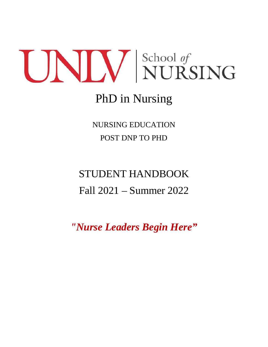# UNIV School of NURSING

# PhD in Nursing

NURSING EDUCATION POST DNP TO PHD

# STUDENT HANDBOOK Fall 2021 – Summer 2022

*"Nurse Leaders Begin Here"*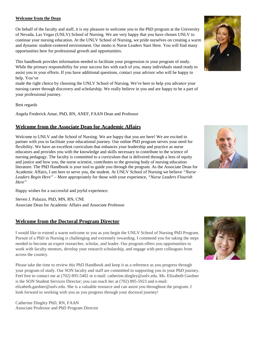#### **Welcome from the Dean**

On behalf of the faculty and staff, it is my pleasure to welcome you to the PhD program at the University of Nevada, Las Vegas (UNLV) School of Nursing. We are very happy that you have chosen UNLV to continue your nursing education. At the UNLV School of Nursing, we pride ourselves on creating a warm and dynamic student-centered environment. Our motto is Nurse Leaders Start Here. You will find many opportunities here for professional growth and opportunities.

This handbook provides information needed to facilitate your progression in your program of study. While the primary responsibility for your success lies with each of you, many individuals stand ready to assist you in your efforts. If you have additional questions, contact your advisor who will be happy to help. You've

made the right choice by choosing the UNLV School of Nursing. We're here to help you advance your nursing career through discovery and scholarship. We really believe in you and are happy to be a part of your professional journey.

Best regards

Angela Frederick Amar, PhD, RN, ANEF, FAAN Dean and Professor

#### **Welcome from the Associate Dean for Academic Affairs**

Welcome to UNLV and the School of Nursing. We are happy that you are here! We are excited to partner with you to facilitate your educational journey. Our online PhD program serves your need for flexibility. We have an excellent curriculum that enhances your leadership and practice as nurse educators and provides you with the knowledge and skills necessary to contribute to the science of nursing pedagogy. The faculty is committed to a curriculum that is delivered through a lens of equity and justice and how you, the nurse scientist, contributes to the growing body of nursing education literature. The PhD Handbook is your tool to guide you through the program. As the Associate Dean for Academic Affairs, I am here to serve you, the student. At UNLV School of Nursing we believe *"Nurse Leaders Begin Here"* – More appropriately for those with your experience, *"Nurse Leaders Flourish Here"*

Happy wishes for a successful and joyful experience.

Steven J. Palazzo, PhD, MN, RN, CNE Associate Dean for Academic Affairs and Associate Professor

#### **Welcome from the Doctoral Program Director**

I would like to extend a warm welcome to you as you begin the UNLV School of Nursing PhD Program. Pursuit of a PhD in Nursing is challenging and extremely rewarding. I commend you for taking the steps needed to become an expert researcher, scholar, and leader. Our program offers you opportunities to work with faculty mentors, develop your research scholarship, and engage with peer colleagues from across the country.

Please take the time to review this PhD Handbook and keep it as a reference as you progress through your program of study. Our SON faculty and staff are committed to supporting you in your PhD journey. Feel free to contact me at (702) 895-5402 or e-mail: [catherine.dingley@unlv.edu. M](mailto:catherine.dingley@unlv.edu)s. Elizabeth Gardner is the SON Student Services Director; you can reach her at (702) 895-5923 and e-mail: [elizabeth.gardner@unlv.edu. S](mailto:elizabeth.gardner@unlv.edu)he is a valuable resource and can assist you throughout the program. I look forward to working with you as you progress through your doctoral journey!

Catherine Dingley PhD, RN, FAAN Associate Professor and PhD Program Director





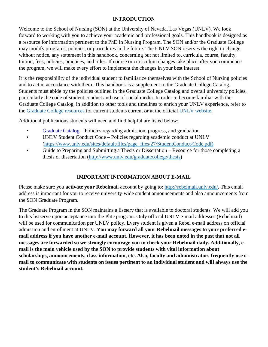# **INTRODUCTION**

Welcome to the School of Nursing (SON) at the University of Nevada, Las Vegas (UNLV). We look forward to working with you to achieve your academic and professional goals. This handbook is designed as a resource for information pertinent to the PhD in Nursing Program. The SON and/or the Graduate College may modify programs, policies, or procedures in the future. The UNLV SON reserves the right to change, without notice, any statement in this handbook, concerning but not limited to, curricula, course, faculty, tuition, fees, policies, practices, and rules. If course or curriculum changes take place after you commence the program, we will make every effort to implement the changes in your best interest.

It is the responsibility of the individual student to familiarize themselves with the School of Nursing policies and to act in accordance with them. This handbook is a supplement to the Graduate College Catalog. Students must abide by the policies outlined in the Graduate College Catalog and overall university policies, particularly the code of student conduct and use of social media. In order to become familiar with the Graduate College Catalog, in addition to other tools and timelines to enrich your UNLV experience, refer to the Graduate College resources for current students current or at the official UNLV website.

Additional publications students will need and find helpful are listed below:

- [Graduate Catalog](https://www.unlv.edu/graduatecollege/graduatecatalog)  Policies regarding admission, progress, and graduation
- UNLV Student Conduct Code Policies regarding academic conduct at UNLV (https:/[/www.unlv.edu/sites/default/files/page\\_files/27/StudentConduct-Code.pdf\)](http://www.unlv.edu/sites/default/files/page_files/27/StudentConduct-Code.pdf))
- Guide to Preparing and Submitting a Thesis or Dissertation Resource for those completing a thesis or dissertation [\(http://www.unlv.edu/graduatecollege/thesis\)](http://www.unlv.edu/graduatecollege/thesis))

# **IMPORTANT INFORMATION ABOUT E-MAIL**

Please make sure you **activate your Rebelmai**l account by going to: [http://rebelmail.unlv.edu/.](http://rebelmail.unlv.edu/) This email address is important for you to receive university-wide student announcements and also announcements from the SON Graduate Program.

The Graduate Program in the SON maintains a listserv that is available to doctoral students. We will add you to this listserve upon acceptance into the PhD program. Only official UNLV e-mail addresses (Rebelmail) will be used for communication per UNLV policy. Every student is given a Rebel e-mail address on official admission and enrollment at UNLV. **You may forward all your Rebelmail messages to your preferred email address if you have another e-mail account. However, it has been noted in the past that not all messages are forwarded so we strongly encourage you to check your Rebelmail daily. Additionally, email is the main vehicle used by the SON to provide students with vital information about scholarships, announcements, class information, etc. Also, faculty and administrators frequently use email to communicate with students on issues pertinent to an individual student and will always use the student's Rebelmail account.**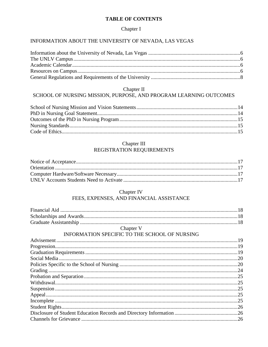#### **TABLE OF CONTENTS**

#### Chapter I

# INFORMATION ABOUT THE UNIVERSITY OF NEVADA, LAS VEGAS

#### Chapter II

# SCHOOL OF NURSING MISSION, PURPOSE, AND PROGRAM LEARNING OUTCOMES

# Chapter III REGISTRATION REQUIREMENTS

# Chapter IV

# FEES, EXPENSES, AND FINANCIAL ASSISTANCE

#### Chapter V

# INFORMATION SPECIFIC TO THE SCHOOL OF NURSING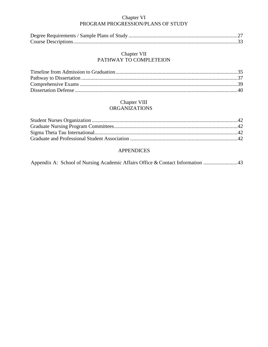# Chapter VI<br>PROGRAM PROGRESSION/PLANS OF STUDY

# Chapter VII<br>PATHWAY TO COMPLETEION

# Chapter VIII<br>ORGANIZATIONS

# **APPENDICES**

| Appendix A: School of Nursing Academic Affairs Office & Contact Information 43 |  |  |
|--------------------------------------------------------------------------------|--|--|
|                                                                                |  |  |
|                                                                                |  |  |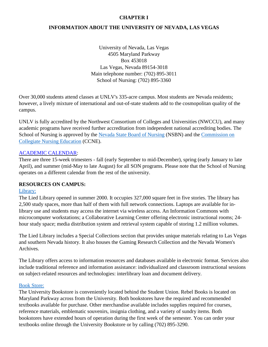#### **CHAPTER I**

# <span id="page-6-0"></span>**INFORMATION ABOUT THE UNIVERSITY OF NEVADA, LAS VEGAS**

University of Nevada, Las Vegas 4505 Maryland Parkway Box 453018 Las Vegas, Nevada 89154-3018 Main telephone number: (702) 895-3011 School of Nursing: (702) 895-3360

Over 30,000 students attend classes at UNLV's 335-acre campus. Most students are Nevada residents; however, a lively mixture of international and out-of-state students add to the cosmopolitan quality of the campus.

UNLV is fully accredited by the Northwest Consortium of Colleges and Universities (NWCCU), and many academic programs have received further accreditation from independent national accrediting bodies. The School of Nursing is approved by the Nevada State Board of Nursing (NSBN) and the Commission on Collegiate Nursing Education (CCNE).

#### <span id="page-6-1"></span>[ACADEMIC CALENDAR:](https://www.unlv.edu/nursing/student-resources/calendar)

There are three 15-week trimesters - fall (early September to mid-December), spring (early January to late April), and summer (mid-May to late August) for all SON programs. Please note that the School of Nursing operates on a different calendar from the rest of the university.

#### <span id="page-6-2"></span>**RESOURCES ON CAMPUS:**

#### Library:

The Lied Library opened in summer 2000. It occupies 327,000 square feet in five stories. The library has 2,500 study spaces, more than half of them with full network connections. Laptops are available for inlibrary use and students may access the internet via wireless access. An Information Commons with microcomputer workstations; a Collaborative Learning Center offering electronic instructional rooms; 24 hour study space; media distribution system and retrieval system capable of storing 1.2 million volumes.

The Lied Library includes a Special Collections section that provides unique materials relating to Las Vegas and southern Nevada history. It also houses the Gaming Research Collection and the Nevada Women's Archives.

The Library offers access to information resources and databases available in electronic format. Services also include traditional reference and information assistance: individualized and classroom instructional sessions on subject-related resources and technologies: interlibrary loan and document delivery.

#### Book Store:

The University Bookstore is conveniently located behind the Student Union. Rebel Books is located on Maryland Parkway across from the University. Both bookstores have the required and recommended textbooks available for purchase. Other merchandise available includes supplies required for courses, reference materials, emblematic souvenirs, insignia clothing, and a variety of sundry items. Both bookstores have extended hours of operation during the first week of the semester. You can order your textbooks online through the University Bookstore or by calling (702) 895-3290.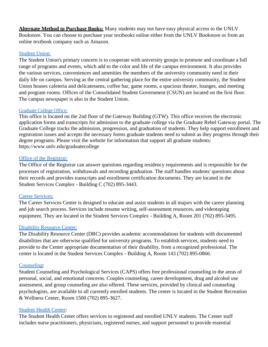**Alternate Method to Purchase Books:** Many students may not have easy physical access to the UNLV Bookstore. You can choose to purchase your textbooks online either from the UNLV Bookstore or from an online textbook company such as Amazon.

## Student Union:

The Student Union's primary concern is to cooperate with university groups to promote and coordinate a full range of programs and events, which add to the color and life of the campus environment. It also provides the various services, conveniences and amenities the members of the university community need in their daily life on campus. Serving as the central gathering place for the entire university community, the Student Union houses cafeteria and delicatessens, coffee bar, game rooms, a spacious theater, lounges, and meeting and program rooms. Offices of the Consolidated Student Government (CSUN) are located on the first floor. The campus newspaper is also in the Student Union.

#### Graduate College Office:

This office is located on the 2nd floor of the Gateway Building (GTW). This office receives the electronic application forms and transcripts for admission to the graduate college via the Graduate Rebel Gateway portal. The Graduate College tracks the admission, progression, and graduation of students. They help support enrollment and registration issues and accepts the necessary forms graduate students need to submit as they progress through their degree programs. Please visit the website for information that support all graduate students: https://www.unlv.edu/graduatecollege

## Office of the Registrar:

The Office of the Registrar can answer questions regarding residency requirements and is responsible for the processes of registration, withdrawals and recording graduation. The staff handles students' questions about their records and provides transcripts and enrollment certification documents. They are located in the Student Services Complex - Building C (702) 895-3443.

## Career Services:

The Career Services Center is designed to educate and assist students in all majors with the career planning and job search process. Services include resume writing, self-assessment resources, and videotaping equipment. They are located in the Student Services Complex - Building A, Room 201 (702) 895-3495.

## Disability Resource Center:

The Disability Resource Center (DRC) provides academic accommodations for students with documented disabilities that are otherwise qualified for university programs. To establish services, students need to provide to the Center appropriate documentation of their disability, from a recognized professional. The center is located in the Student Services Complex - Building A, Room 143 (702) 895-0866.

## Counseling:

Student Counseling and Psychological Services (CAPS) offers free professional counseling in the areas of personal, social, and emotional concerns. Couples counseling, career development, drug and alcohol use assessment, and group counseling are also offered. These services, provided by clinical and counseling psychologists, are available to all currently enrolled students. The center is located in the Student Recreation & Wellness Center, Room 1500 (702) 895-3627.

## Student Health Center:

The Student Health Center offers services to registered and enrolled UNLV students. The Center staff includes nurse practitioners, physicians, registered nurses, and support personnel to provide essential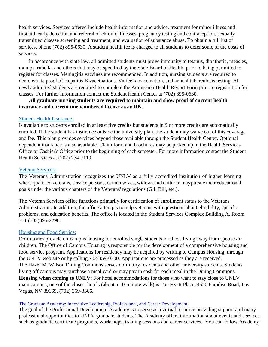health services. Services offered include health information and advice, treatment for minor illness and first aid, early detection and referral of chronic illnesses, pregnancy testing and contraception, sexually transmitted disease screening and treatment, and evaluation of substance abuse. To obtain a full list of services, phone (702) 895-0630. A student health fee is charged to all students to defer some of the costs of services.

In accordance with state law, all admitted students must prove immunity to tetanus, diphtheria, measles, mumps, rubella, and others that may be specified by the State Board of Health, prior to being permitted to register for classes. Meningitis vaccines are recommended. In addition, nursing students are required to demonstrate proof of Hepatitis B vaccinations, Varicella vaccination, and annual tuberculosis testing. All newly admitted students are required to complete the Admission Health Report Form prior to registration for classes. For further information contact the Student Health Center at (702) 895-0630.

## **All graduate nursing students are required to maintain and show proof of current health insurance and current unencumbered license as an RN.**

#### Student Health Insurance:

Is available to students enrolled in at least five credits but students in 9 or more credits are automatically enrolled. If the student has insurance outside the university plan, the student may waive out of this coverage and fee. This plan provides services beyond those available through the Student Health Center. Optional dependent insurance is also available. Claim form and brochures may be picked up in the Health Services Office or Cashier's Office prior to the beginning of each semester. For more information contact the Student Health Services at (702) 774-7119.

#### Veteran Services:

The Veterans Administration recognizes the UNLV as a fully accredited institution of higher learning where qualified veterans, service persons, certain wives, widows and children maypursue their educational goals under the various chapters of the Veterans' regulations (G.I. Bill, etc.).

The Veteran Services office functions primarily for certification of enrollment status to the Veterans Administration. In addition, the office attempts to help veterans with questions about eligibility, specific problems, and education benefits. The office is located in the Student Services Complex Building A, Room 311 (702)895-2290.

#### Housing and Food Service:

Dormitories provide on-campus housing for enrolled single students, or those living away from spouse /or children. The Office of Campus Housing is responsible for the development of a comprehensive housing and food service program. Applications for residency may be acquired by writing to Campus Housing, through the UNLV web site or by calling 702-359-0300. Applications are processed as they are received. The Hazel M. Wilson Dining Commons serves dormitory residents and other university students. Students living off campus may purchase a meal card or may pay in cash for each meal in the Dining Commons. **Housing when coming to UNLV:** For hotel accommodations for those who want to stay close to UNLV main campus, one of the closest hotels (about a 10-minute walk) is The Hyatt Place, 4520 Paradise Road, Las Vegas, NV 89169, (702) 369-3366.

#### The Graduate Academy: Innovative Leadership, Professional, and Career Development

The goal of the Professional Development Academy is to serve as a virtual resource providing support and many professional opportunities to UNLV graduate students. The Academy offers information about events and services such as graduate certificate programs, workshops, training sessions and career services. You can follow Academy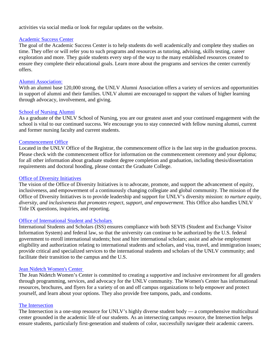activities via social media or look for regular updates on the website.

#### [Academic Success Center](http://academicsuccess.unlv.edu/)

The goal of the Academic Success Center is to help students do well academically and complete they studies on time. They offer or will refer you to such programs and resources as tutoring, advising, skills testing, career exploration and more. They guide students every step of the way to the many established resources created to ensure they complete their educational goals. Learn more about the programs and services the center currently offers.

#### [Alumni](http://www.unlv.edu/alumni) Association:

With an alumni base 120,000 strong, the UNLV Alumni Association offers a variety of services and opportunities in support of alumni and their families. UNLV alumni are encouraged to support the values of higher learning through advocacy, involvement, and giving.

#### [School of Nursing Alumni](https://www.unlv.edu/nursing/connect-engage/alumni)

As a graduate of the UNLV School of Nursing, you are our greatest asset and your continued engagement with the school is vital to our continued success. We encourage you to stay connected with fellow nursing alumni, current and former nursing faculty and current students.

#### [Commencement Office](http://www.unlv.edu/commencement)

Located in the UNLV Office of the Registrar, the commencement office is the last step in the graduation process. Please check with the commencement office for information on the commencement ceremony and your diploma; for all other information about graduate student degree completion and graduation, including thesis/dissertation requirements and doctoral hooding, please contact the Graduate College.

#### [Office of Diversity Initiatives](http://www.unlv.edu/diversityinitiatives)

The vision of the Office of Diversity Initiatives is to advocate, promote, and support the advancement of equity, inclusiveness, and empowerment of a continuously changing collegiate and global community. The mission of the Office of Diversity Initiatives is to provide leadership and support for UNLV's diversity mission: *to nurture equity,*  diversity, and inclusiveness that promotes respect, support, and empowerment. This Office also handles UNLV Title IX questions, inquiries, and reporting.

#### [Office of International Student and Scholars](http://www.unlv.edu/iss)

International Students and Scholars (ISS) ensures compliance with both SEVIS (Student and Exchange Visitor Information System) and federal law, so that the university can continue to be authorized by the U.S. federal government to enroll international students; host and hire international scholars; assist and advise employment eligibility and authorization relating to international students and scholars, and visa, travel, and immigration issues; provide critical and specialized services to the international students and scholars of the UNLV community; and facilitate their transition to the campus and the U.S.

#### [Jean Nidetch Women's Center](https://www.unlv.edu/womenscenter)

The Jean Nidetch Women's Center is committed to creating a supportive and inclusive environment for all genders through programming, services, and advocacy for the UNLV community. The Women's Center has informational resources, brochures, and flyers for a variety of on and off campus organizations to help empower and protect yourself, and learn about your options. They also provide free tampons, pads, and condoms.

#### [The Intersection](https://www.unlv.edu/intersection)

The Intersection is a one-stop resource for UNLV's highly diverse student body — a comprehensive multicultural center grounded in the academic life of our students. As an intersecting campus resource, the Intersection helps ensure students, particularly first-generation and students of color, successfully navigate their academic careers.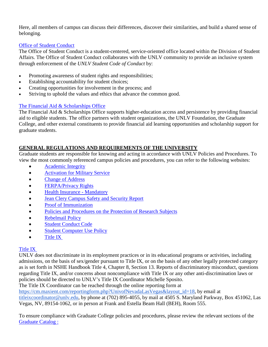Here, all members of campus can discuss their differences, discover their similarities, and build a shared sense of belonging.

# [Office of Student Conduct](http://studentconduct.unlv.edu/)

The Office of Student Conduct is a student-centered, service-oriented office located within the Division of Student Affairs. The Office of Student Conduct collaborates with the UNLV community to provide an inclusive system through enforcement of the *UNLV Student Code of Conduct* by:

- Promoting awareness of student rights and responsibilities;
- Establishing accountability for student choices;
- Creating opportunities for involvement in the process; and
- Striving to uphold the values and ethics that advance the common good.

# [The Financial Aid & Scholarships Office](http://www.unlv.edu/finaid)

The Financial Aid & Scholarships Office supports higher-education access and persistence by providing financial aid to eligible students. The office partners with student organizations, the UNLV Foundation, the Graduate College, and other external constituents to provide financial aid learning opportunities and scholarship support for graduate students.

# <span id="page-10-0"></span>**GENERAL REGULATIONS AND REQUIREMENTS OF THE UNIVERSITY**

Graduate students are responsible for knowing and acting in accordance with UNLV Policies and Procedures. To view the most commonly referenced campus policies and procedures, you can refer to the following websites:

- [Academic Integrity](http://studentconduct.unlv.edu/misconduct/appeal-board.html)
- [Activation for Military Service](http://www.unlv.edu/veterans/deploy)
- Change of Address
- [FERPA/Privacy Rights](http://www.unlv.edu/registrar/ferpa)
- [Health Insurance Mandatory](https://www.unlv.edu/graduatecollege/current/healthinsurance)
- [Jean Clery Campus Safety and Security Report](http://police.unlv.edu/policies/campus-report.html)
- [Proof of Immunization](http://www.unlv.edu/admissions/immunizations)
- Policies and Procedures on the Protection of Research Subjects
- Rebelmail Policy
- [Student Conduct Code](http://studentconduct.unlv.edu/conduct/student-conduct-code.html)
- Student Computer Use Policy
- Title IX

# [Title IX](https://www.unlv.edu/compliance/titleIX)

UNLV does not discriminate in its employment practices or in its educational programs or activities, including admissions, on the basis of sex/gender pursuant to Title IX, or on the basis of any other legally protected category as is set forth in NSHE Handbook Title 4, Chapter 8, Section 13. Reports of discriminatory misconduct, questions regarding Title IX, and/or concerns about noncompliance with Title IX or any other anti-discrimination laws or policies should be directed to UNLV's Title IX Coordinator Michelle Sposito.

The Title IX Coordinator can be reached through the online reporting form at

[https://cm.maxient.com/reportingform.php?UnivofNevadaLasVegas&layout\\_id=18,](https://cm.maxient.com/reportingform.php?UnivofNevadaLasVegas&layout_id=18) by email at

[titleixcoordinator@unlv.edu,](mailto:titleixcoordinator@unlv.edu) by phone at (702) 895-4055, by mail at 4505 S. Maryland Parkway, Box 451062, Las Vegas, NV, 89154-1062, or in person at Frank and Estella Beam Hall (BEH), Room 555.

To ensure compliance with Graduate College policies and procedures, please review the relevant sections of the [Graduate Catalog :](https://catalog.unlv.edu/content.php?catoid=34&navoid=8761)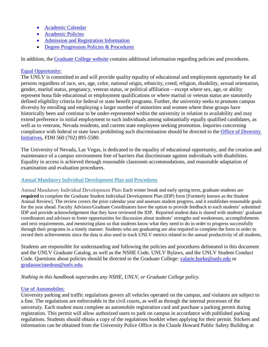- [Academic Calendar](https://catalog.unlv.edu/content.php?catoid=34&navoid=8761)
- [Academic Policies](https://catalog.unlv.edu/content.php?catoid=34&navoid=8761)
- [Admission and Registration Information](https://catalog.unlv.edu/content.php?catoid=34&navoid=8761)
- [Degree Progression Policies & Procedures](https://catalog.unlv.edu/content.php?catoid=34&navoid=8761)

In addition, the [Graduate College website](http://graduatecollege.unlv.edu/) contains additional information regarding policies and procedures.

# [Equal Opportunity:](https://www.unlv.edu/about/statements-compliance)

The UNLV is committed to and will provide quality equality of educational and employment opportunity for all persons regardless of race, sex, age, color, national origin, ethnicity, creed, religion, disability, sexual orientation, gender, marital status, pregnancy, veteran status, or political affiliation – except where sex, age, or ability represent bona fide educational or employment qualifications or where marital or veteran status are statutorily defined eligibility criteria for federal or state benefit programs. Further, the university seeks to promote campus diversity by enrolling and employing a larger number of minorities and women where these groups have historically been and continue to be under-represented within the university in relation to availability and may extend preference in initial employment to such individuals among substantially equally qualified candidates, as well as to veterans, Nevada residents, and current state employees seeking promotion. Inquiries concerning compliance with federal or state laws prohibiting such discrimination should be directed to the [Office of Diversity](https://www.unlv.edu/diversityinitiatives)  [Initiatives,](https://www.unlv.edu/diversityinitiatives) FDH 560 (702) 895-5580.

The University of Nevada, Las Vegas, is dedicated to the equality of educational opportunity, and the creation and maintenance of a campus environment free of barriers that discriminate against individuals with disabilities. Equality in access is achieved through reasonable classroom accommodations, and reasonable adaptation of examination and evaluation procedures.

# Annual Mandatory Individual Development Plan and Procedures

Annual Mandatory Individual Development Plan: Each winter break and early spring term, graduate students are **required** to complete the Graduate Student Individual Development Plan (IDP) form [Formerly known as the Student Annual Review]. The review covers the prior calendar year and assesses student progress, and it establishes reasonable goals for the year ahead. Faculty Advisors/Graduate Coordinators have the option to provide feedback to each students' submitted IDP and provide acknowledgement that they have reviewed the IDP. Reported student data is shared with students' graduate coordinators and advisors to foster opportunities for discussion about students' strengths and weaknesses, accomplishments and next requirements, and mentoring plans so that students know what they need to do in order to progress successfully through their programs in a timely manner. Students who are graduating are also required to complete the form in order to record their achievements since the data is also used to track UNLV metrics related to the annual productivity of all students.

Students are responsible for understanding and following the policies and procedures delineated in this document and the UNLV Graduate Catalog, as well as the NSHE Code, UNLV Bylaws, and the UNLV Student Conduct Code. Questions about policies should be directed to the Graduate College: valarie.burke@unly.edu or [gradassociatedean@unlv.edu.](mailto:gradassociatedean@unlv.edu)

*Nothing in this handbook supersedes any NSHE, UNLV, or Graduate College policy.*

## [Use of Automobiles:](https://www.unlv.edu/parking)

University parking and traffic regulations govern all vehicles operated on the campus, and violators are subject to a fine. The regulations are enforceable in the civil courts, as well as through the internal processes of the university. Each student must complete an automobile registration card and purchase a parking permit during registration. This permit will allow authorized users to park on campus in accordance with published parking regulations. Students should obtain a copy of the regulations booklet when applying for their permit. Stickers and information can be obtained from the University Police Office in the Claude Howard Public Safety Building at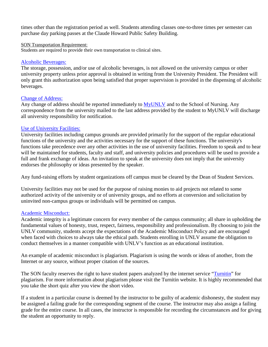times other than the registration period as well. Students attending classes one-to-three times per semester can purchase day parking passes at the Claude Howard Public Safety Building.

#### SON Transportation Requirement:

Students are required to provide their own transportation to clinical sites.

#### [Alcoholic Beverages:](https://catalog.unlv.edu/content.php?catoid=23&navoid=4689)

The storage, possession, and/or use of alcoholic beverages, is not allowed on the university campus or other university property unless prior approval is obtained in writing from the University President. The President will only grant this authorization upon being satisfied that proper supervision is provided in the dispensing of alcoholic beverages.

#### [Change of Address:](https://www.unlv.edu/sites/default/files/page_files/3/Change-of-Address-Flyer.pdf)

Any change of address should be reported immediately to [MyUNLV](https://my.unlv.nevada.edu/) and to the School of Nursing. Any correspondence from the university mailed to the last address provided by the student to MyUNLV will discharge all university responsibility for notification.

#### [Use of University Facilities:](https://catalog.unlv.edu/content.php?catoid=23&navoid=4689)

University facilities including campus grounds are provided primarily for the support of the regular educational functions of the university and the activities necessary for the support of these functions. The university's functions take precedence over any other activities in the use of university facilities. Freedom to speak and to hear will be maintained for students, faculty and staff, and university policies and procedures will be used to provide a full and frank exchange of ideas. An invitation to speak at the university does not imply that the university endorses the philosophy or ideas presented by the speaker.

Any fund-raising efforts by student organizations off campus must be cleared by the Dean of Student Services.

University facilities may not be used for the purpose of raising monies to aid projects not related to some authorized activity of the university or of university groups, and no efforts at conversion and solicitation by uninvited non-campus groups or individuals will be permitted on campus.

#### [Academic Misconduct:](https://www.unlv.edu/studentconduct/misconduct/policy)

Academic integrity is a legitimate concern for every member of the campus community; all share in upholding the fundamental values of honesty, trust, respect, fairness, responsibility and professionalism. By choosing to join the UNLV community, students accept the expectations of the Academic Misconduct Policy and are encouraged when faced with choices to always take the ethical path. Students enrolling in UNLV assume the obligation to conduct themselves in a manner compatible with UNLV's function as an educational institution.

An example of academic misconduct is plagiarism. Plagiarism is using the words or ideas of another, from the Internet or any source, without proper citation of the sources.

The SON faculty reserves the right to have student papers analyzed by the internet service ["Turnitin"](https://www.turnitin.com/) for plagiarism. For more information about plagiarism please visit the Turnitin website. It is highly recommended that you take the short quiz after you view the short video.

If a student in a particular course is deemed by the instructor to be guilty of academic dishonesty, the student may be assigned a failing grade for the corresponding segment of the course. The instructor may also assign a failing grade for the entire course. In all cases, the instructor is responsible for recording the circumstances and for giving the student an opportunity to reply.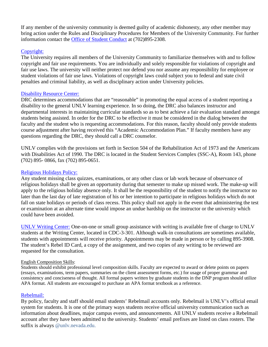If any member of the university community is deemed guilty of academic dishonesty, any other member may bring action under the Rules and Disciplinary Procedures for Members of the University Community. For further information contact the [Office of Student Conduct](https://www.unlv.edu/studentconduct) at (702)895-2308.

#### [Copyright:](http://www.unlv.edu/provost/copyright/)

The University requires all members of the University Community to familiarize themselves with and to follow copyright and fair use requirements. You are individually and solely responsible for violations of copyright and fair use laws. The university will neither protect nor defend you nor assume any responsibility for employee or student violations of fair use laws. Violations of copyright laws could subject you to federal and state civil penalties and criminal liability, as well as disciplinary action under University policies.

#### [Disability Resource Center:](https://www.unlv.edu/drc)

DRC determines accommodations that are "reasonable" in promoting the equal access of a student reporting a disability to the general UNLV learning experience. In so doing, the DRC also balances instructor and departmental interests in maintaining curricular standards so as to best achieve a fair evaluation standard amongst students being assisted. In order for the DRC to be effective it must be considered in the dialog between the faculty and the student who is requesting accommodations. For this reason, faculty should only provide students course adjustment after having received this "Academic Accommodation Plan." If faculty members have any questions regarding the DRC, they should call a DRC counselor.

UNLV complies with the provisions set forth in Section 504 of the Rehabilitation Act of 1973 and the Americans with Disabilities Act of 1990. The DRC is located in the Student Services Complex (SSC-A), Room 143, phone (702) 895- 0866, fax (702) 895-0651.

#### [Religious Holidays Policy:](https://catalog.unlv.edu/content.php?catoid=23&navoid=4683)

Any student missing class quizzes, examinations, or any other class or lab work because of observance of religious holidays shall be given an opportunity during that semester to make up missed work. The make-up will apply to the religious holiday absence only. It shall be the responsibility of the student to notify the instructor no later than the last day of late registration of his or her intention to participate in religious holidays which do not fall on state holidays or periods of class recess. This policy shall not apply in the event that administering the test or examination at an alternate time would impose an undue hardship on the instructor or the university which could have been avoided.

[UNLV Writing Center:](http://writingcenter.unlv.edu/) One-on-one or small group assistance with writing is available free of charge to UNLV students at the Writing Center, located in CDC-3-301. Although walk-in consultations are sometimes available, students with appointments will receive priority. Appointments may be made in person or by calling 895-3908. The student's Rebel ID Card, a copy of the assignment, and two copies of any writing to be reviewed are requested for the consultation.

#### English Composition Skills:

Students should exhibit professional level composition skills. Faculty are expected to award or delete points on papers (essays, examinations, term papers, summaries on the client assessment forms, etc.) for usage of proper grammar and consistency and conciseness of thought. All formal papers written by graduate students in the DNP program should utilize APA format. All students are encouraged to purchase an APA format textbook as a reference.

#### [Rebelmail:](https://rebelmail.unlv.edu/)

By policy, faculty and staff should email students' Rebelmail accounts only. Rebelmail is UNLV's official email system for students. It is one of the primary ways students receive official university communication such as information about deadlines, major campus events, and announcements. All UNLV students receive a Rebelmail account after they have been admitted to the university. Students' email prefixes are listed on class rosters. The suffix is always @unlv.nevada.edu.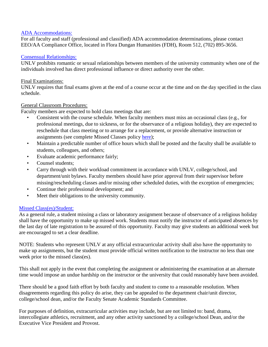#### [ADA Accommodations:](http://www.unlv.edu/compliance/ada)

For all faculty and staff (professional and classified) ADA accommodation determinations, please contact EEO/AA Compliance Office, located in Flora Dungan Humanities (FDH), Room 512, (702) 895-3656.

#### [Consensual Relationships:](http://www.unlv.edu/hr/policies/consensual)

UNLV prohibits romantic or sexual relationships between members of the university community when one of the individuals involved has direct professional influence or direct authority over the other.

#### Final Examinations:

UNLV requires that final exams given at the end of a course occur at the time and on the day specified in the class schedule.

#### General Classroom Procedures:

Faculty members are expected to hold class meetings that are:

- Consistent with the course schedule. When faculty members must miss an occasional class (e.g., for professional meetings, due to sickness, or for the observance of a religious holiday), they are expected to reschedule that class meeting or to arrange for a replacement, or provide alternative instruction or assignments (see complete Missed Classes policy [here\)](https://www.unlv.edu/sites/default/files/assets/provost/policies-forms/Missed-Classes-for-Teaching-Staff-Procedures.pdf);
- Maintain a predictable number of office hours which shall be posted and the faculty shall be available to students, colleagues, and others;
- Evaluate academic performance fairly;
- Counsel students;
- Carry through with their workload commitment in accordance with UNLV, college/school, and department/unit bylaws. Faculty members should have prior approval from their supervisor before missing/rescheduling classes and/or missing other scheduled duties, with the exception of emergencies;
- Continue their professional development; and
- Meet their obligations to the university community.

## [Missed Class\(es\)/Student:](https://catalog.unlv.edu/content.php?catoid=4&navoid=164)

As a general rule, a student missing a class or laboratory assignment because of observance of a religious holiday shall have the opportunity to make up missed work. Students must notify the instructor of anticipated absences by the last day of late registration to be assured of this opportunity. Faculty may give students an additional week but are encouraged to set a clear deadline.

NOTE: Students who represent UNLV at any official extracurricular activity shall also have the opportunity to make up assignments, but the student must provide official written notification to the instructor no less than one week prior to the missed class(es).

This shall not apply in the event that completing the assignment or administering the examination at an alternate time would impose an undue hardship on the instructor or the university that could reasonably have been avoided.

There should be a good faith effort by both faculty and student to come to a reasonable resolution. When disagreements regarding this policy do arise, they can be appealed to the department chair/unit director, college/school dean, and/or the Faculty Senate Academic Standards Committee.

For purposes of definition, extracurricular activities may include, but are not limited to: band, drama, intercollegiate athletics, recruitment, and any other activity sanctioned by a college/school Dean, and/or the Executive Vice President and Provost.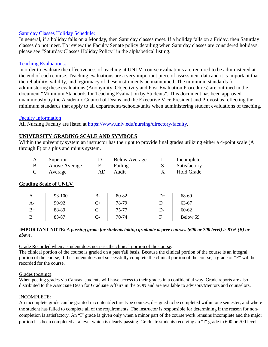#### [Saturday Classes Holiday Schedule:](http://www.unlv.edu/assets/provost/policies-forms/FS-SAT_CLASS_HOLIDAY_POLICY_9-14-05.pdf)

In general, if a holiday falls on a Monday, then Saturday classes meet. If a holiday falls on a Friday, then Saturday classes do not meet. To review the Faculty Senate policy detailing when Saturday classes are considered holidays, please see "Saturday Classes Holiday Policy" in the alphabetical listing.

#### [Teaching Evaluations:](http://www.unlv.edu/assets/provost/policies-forms/Minimum-Standards-for-Teaching-Evals-8.17.2011-signed.pdf)

In order to evaluate the effectiveness of teaching at UNLV, course evaluations are required to be administered at the end of each course. Teaching evaluations are a very important piece of assessment data and it is important that the reliability, validity, and legitimacy of these instruments be maintained. The minimum standards for administering these evaluations (Anonymity, Objectivity and Post-Evaluation Procedures) are outlined in the document "Minimum Standards for Teaching Evaluation by Students". This document has been approved unanimously by the Academic Council of Deans and the Executive Vice President and Provost as reflecting the minimum standards that apply to all departments/schools/units when administering student evaluations of teaching.

#### [Faculty Information](https://www.unlv.edu/nursing/directory/faculty)

All Nursing Faculty are listed at [https://www.unlv.edu/nursing/directory/faculty.](https://www.unlv.edu/nursing/directory/faculty)

## **UNIVERSITY GRADING SCALE AND SYMBOLS**

Within the university system an instructor has the right to provide final grades utilizing either a 4-point scale (A through F) or a plus and minus system.

| A   | Superior      |   | <b>Below Average</b> | Incomplete        |
|-----|---------------|---|----------------------|-------------------|
| - B | Above Average | F | Failing              | Satisfactory      |
|     | Average       |   | AD Audit             | <b>Hold Grade</b> |

## **Grading Scale of UNLV**

|             | 93-100 | B- | 80-82 | D+ | 68-69    |
|-------------|--------|----|-------|----|----------|
| A-          | 90-92  |    | 78-79 |    | 63-67    |
| $_{\rm B+}$ | 88-89  | ◡  | 75-77 | D- | $60-62$  |
|             | 83-87  | С- | 70-74 | F  | Below 59 |

#### **IMPORTANT NOTE:** *A passing grade for students taking graduate degree courses (600 or 700 level) is 83% (B) or above***.**

Grade Recorded when a student does not pass the clinical portion of the course:

The clinical portion of the course is graded on a pass/fail basis. Because the clinical portion of the course is an integral portion of the course, if the student does not successfully complete the clinical portion of the course, a grade of "F" will be recorded for the course.

#### Grades (posting):

When posting grades via Canvas, students will have access to their grades in a confidential way. Grade reports are also distributed to the Associate Dean for Graduate Affairs in the SON and are available to advisors/Mentors and counselors.

#### INCOMPLETE:

An incomplete grade can be granted in content/lecture type courses, designed to be completed within one semester, and where the student has failed to complete all of the requirements. The instructor is responsible for determining if the reason for noncompletion is satisfactory. An "I" grade is given only when a minor part of the course work remains incomplete and the major portion has been completed at a level which is clearly passing. Graduate students receiving an "I" grade in 600 or 700 level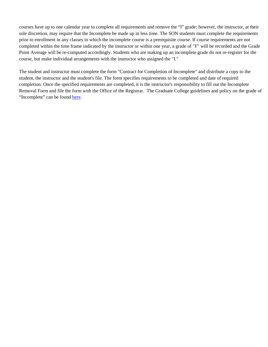courses have up to one calendar year to complete all requirements and remove the "I" grade; however, the instructor, at their sole discretion, may require that the Incomplete be made up in less time. The SON students must complete the requirements prior to enrollment in any classes in which the incomplete course is a prerequisite course. If course requirements are not completed within the time frame indicated by the instructor or within one year, a grade of "F" will be recorded and the Grade Point Average will be re-computed accordingly. Students who are making up an incomplete grade do not re-register for the course, but make individual arrangements with the instructor who assigned the "I."

The student and instructor must complete the form "Contract for Completion of Incomplete" and distribute a copy to the student, the instructor and the student's file. The form specifies requirements to be completed and date of required completion. Once the specified requirements are completed, it is the instructor's responsibility to fill out the Incomplete Removal Form and file the form with the Office of the Registrar. The Graduate College guidelines and policy on the grade of "Incomplete" can be found [here.](http://catalog.unlv.edu/content.php?catoid=15&navoid=2524#Grade_Point_Average)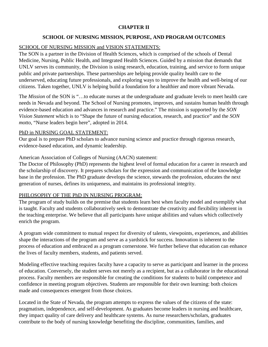# **CHAPTER II**

# **SCHOOL OF NURSING MISSION, PURPOSE, AND PROGRAM OUTCOMES**

# <span id="page-17-0"></span>SCHOOL OF NURSING MISSION and VISION STATEMENTS:

The SON is a partner in the Division of Health Sciences, which is comprised of the schools of Dental Medicine, Nursing, Public Health, and Integrated Health Sciences. Guided by a mission that demands that UNLV serves its community, the Division is using research, education, training, and service to form unique public and private partnerships. These partnerships are helping provide quality health care to the underserved, educating future professionals, and exploring ways to improve the health and well-being of our citizens. Taken together, UNLV is helping build a foundation for a healthier and more vibrant Nevada.

The *Mission* of the SON is "…to educate nurses at the undergraduate and graduate levels to meet health care needs in Nevada and beyond. The School of Nursing promotes, improves, and sustains human health through evidence-based education and advances in research and practice." The mission is supported by the *SON Vision Statement* which is to "Shape the future of nursing education, research, and practice" and the *SON motto*, "Nurse leaders begin here", adopted in 2014.

# <span id="page-17-1"></span>PhD in NURSING GOAL STATEMENT:

Our goal is to prepare PhD scholars to advance nursing science and practice through rigorous research, evidence-based education, and dynamic leadership.

# American Association of Colleges of Nursing (AACN) statement:

The Doctor of Philosophy (PhD) represents the highest level of formal education for a career in research and the scholarship of discovery. It prepares scholars for the expression and communication of the knowledge base in the profession. The PhD graduate develops the science, stewards the profession, educates the next generation of nurses, defines its uniqueness, and maintains its professional integrity.

## PHILOSOPHY OF THE PhD IN NURSING PROGRAM:

The program of study builds on the premise that students learn best when faculty model and exemplify what is taught. Faculty and students collaboratively seek to demonstrate the creativity and flexibility inherent in the teaching enterprise. We believe that all participants have unique abilities and values which collectively enrich the program.

A program wide commitment to mutual respect for diversity of talents, viewpoints, experiences, and abilities shape the interactions of the program and serve as a yardstick for success. Innovation is inherent to the process of education and embraced as a program cornerstone. We further believe that education can enhance the lives of faculty members, students, and patients served.

Modeling effective teaching requires faculty have a capacity to serve as participant and learner in the process of education. Conversely, the student serves not merely as a recipient, but as a collaborator in the educational process. Faculty members are responsible for creating the conditions for students to build competence and confidence in meeting program objectives. Students are responsible for their own learning: both choices made and consequences emergent from those choices.

Located in the State of Nevada, the program attempts to express the values of the citizens of the state: pragmatism, independence, and self-development. As graduates become leaders in nursing and healthcare, they impact quality of care delivery and healthcare systems. As nurse researchers/scholars, graduates contribute to the body of nursing knowledge benefiting the discipline, communities, families, and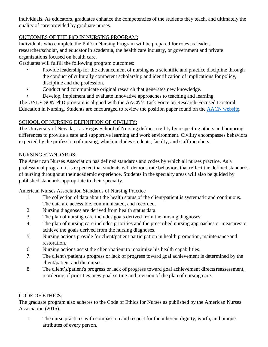individuals. As educators, graduates enhance the competencies of the students they teach, and ultimately the quality of care provided by graduate nurses.

# <span id="page-18-0"></span>OUTCOMES OF THE PhD IN NURSING PROGRAM:

Individuals who complete the PhD in Nursing Program will be prepared for roles as leader, researcher/scholar, and educator in academia, the health care industry, or government and private organizations focused on health care.

Graduates will fulfill the following program outcomes:

- Provide leadership for the advancement of nursing as a scientific and practice discipline through the conduct of culturally competent scholarship and identification of implications for policy, discipline and the profession.
- Conduct and communicate original research that generates new knowledge.
- Develop, implement and evaluate innovative approaches to teaching and learning.

The UNLV SON PhD program is aligned with the AACN's Task Force on Research-Focused Doctoral Education in Nursing. Students are encouraged to review the position paper found on the AACN website.

# SCHOOL OF NURSING DEFINITION OF CIVILITY:

The University of Nevada, Las Vegas School of Nursing defines civility by respecting others and honoring differences to provide a safe and supportive learning and work environment. Civility encompasses behaviors expected by the profession of nursing, which includes students, faculty, and staff members.

# <span id="page-18-1"></span>NURSING STANDARDS:

The American Nurses Association has defined standards and codes by which all nurses practice. As a professional program it is expected that students will demonstrate behaviors that reflect the defined standards of nursing throughout their academic experience. Students in the specialty areas will also be guided by published standards appropriate to their specialty.

American Nurses Association Standards of Nursing Practice

- 1. The collection of data about the health status of the client/patient is systematic and continuous. The data are accessible, communicated, and recorded.
- 2. Nursing diagnoses are derived from health status data.
- 3. The plan of nursing care includes goals derived from the nursing diagnoses.
- 4. The plan of nursing care includes priorities and the prescribed nursing approaches or measures to achieve the goals derived from the nursing diagnoses.
- 5. Nursing actions provide for client/patient participation in health promotion, maintenance and restoration.
- 6. Nursing actions assist the client/patient to maximize his health capabilities.
- 7. The client's/patient's progress or lack of progress toward goal achievement is determined by the client/patient and the nurses.
- 8. The client's/patient's progress or lack of progress toward goal achievement directs reassessment, reordering of priorities, new goal setting and revision of the plan of nursing care.

# <span id="page-18-2"></span>CODE OF ETHICS:

The graduate program also adheres to the Code of Ethics for Nurses as published by the American Nurses Association (2015).

1. The nurse practices with compassion and respect for the inherent dignity, worth, and unique attributes of every person.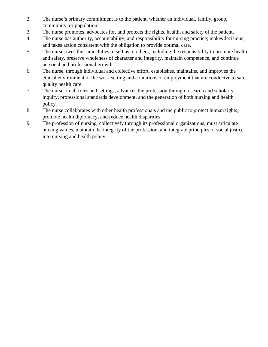- 2. The nurse's primary commitment is to the patient, whether an individual, family, group, community, or population.
- 3. The nurse promotes, advocates for, and protects the rights, health, and safety of the patient.
- 4. The nurse has authority, accountability, and responsibility for nursing practice; makes decisions; and takes action consistent with the obligation to provide optimal care.
- 5. The nurse owes the same duties to self as to others, including the responsibility to promote health and safety, preserve wholeness of character and integrity, maintain competence, and continue personal and professional growth.
- 6. The nurse, through individual and collective effort, establishes, maintains, and improves the ethical environment of the work setting and conditions of employment that are conducive to safe, quality health care.
- 7. The nurse, in all roles and settings, advances the profession through research and scholarly inquiry, professional standards development, and the generation of both nursing and health policy.
- 8. The nurse collaborates with other health professionals and the public to protect human rights, promote health diplomacy, and reduce health disparities.
- 9. The profession of nursing, collectively through its professional organizations, must articulate nursing values, maintain the integrity of the profession, and integrate principles of social justice into nursing and health policy.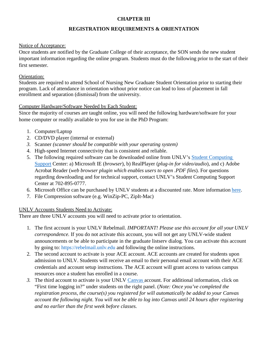# **CHAPTER III**

# **REGISTRATION REQUIREMENTS & ORIENTATION**

#### <span id="page-20-0"></span>Notice of Acceptance:

Once students are notified by the Graduate College of their acceptance, the SON sends the new student important information regarding the online program. Students must do the following prior to the start of their first semester.

#### <span id="page-20-1"></span>Orientation:

Students are required to attend School of Nursing New Graduate Student Orientation prior to starting their program. Lack of attendance in orientation without prior notice can lead to loss of placement in fall enrollment and separation (dismissal) from the university.

## Computer Hardware/Software Needed by Each Student:

Since the majority of courses are taught online, you will need the following hardware/software for your home computer or readily available to you for use in the PhD Program:

- 1. Computer/Laptop
- 2. CD/DVD player (internal or external)
- *3.* Scanner *(scanner should be compatible with your operating system)*
- 4. High-speed Internet connectivity that is consistent and reliable.
- 5. The following required software can be downloaded online from UNLV's Student Computing Support Center: a) Microsoft IE (*browser*), b) RealPlayer (*plug-in for video/audio*), and c) Adobe Acrobat Reader (*web browser plugin which enables users to open .PDF files*). For questions regarding downloading and for technical support, contact UNLV's Student Computing Support Center at 702-895-0777.
- 6. Microsoft Office can be purchased by UNLV students at a discounted rate. More information here.
- 7. File Compression software (e.g. WinZip-PC, ZipIt-Mac)

## <span id="page-20-2"></span>UNLV Accounts Students Need to Activate:

There are three UNLV accounts you will need to activate prior to orientation.

- 1. The first account is your UNLV Rebelmail. *IMPORTANT! Please use this account for all your UNLV correspondence.* If you do not activate this account, you will not get any UNLV-wide student announcements or be able to participate in the graduate listserv dialog. You can activate this account by going to: https://rebelmail.unlv.edu and following the online instructions.
- 2. The second account to activate is your ACE account. ACE accounts are created for students upon admission to UNLV. Students will receive an email to their personal email account with their ACE credentials and account setup instructions. The ACE account will grant access to various campus resources once a student has enrolled in a course.
- *3.* The third account to activate is your UNLV Canvas account. For additional information, click on "First time logging in?" under students on the right panel. (*Note: Once you've completed the registration process, the course(s) you registered for will automatically be added to your Canvas account the following night. You will not be able to log into Canvas until 24 hours after registering and no earlier than the first week before classes.*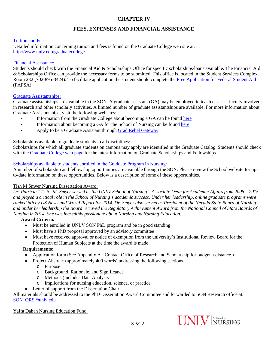# **CHAPTER IV**

# **FEES, EXPENSES AND FINANCIAL ASSISTANCE**

#### <span id="page-21-1"></span><span id="page-21-0"></span>[Tuition and Fees:](http://www.unlv.edu/graduatecollege/financing)

Detailed information concerning tuition and fees is found on the Graduate College web site at: <http://www.unlv.edu/graduatecollege>

#### [Financial Assistance:](https://www.unlv.edu/finaid)

Students should check with the Financial Aid & Scholarships Office for specific scholarships/loans available. The Financial Aid & Scholarships Office can provide the necessary forms to be submitted. This office is located in the Student Services Complex, Room 232 (702-895-3424). To facilitate application the student should complete the [Free Application for Federal Student Aid](https://fafsa.ed.gov/) (FAFSA)

#### [Graduate Assistantships:](https://www.unlv.edu/graduatecollege/ga)

Graduate assistantships are available in the SON. A graduate assistant (GA) may be employed to teach or assist faculty involved in research and other scholarly activities. A limited number of graduate assistantships are available. For more information about Graduate Assistantships, visit the following websites:

- Information from the Graduate College about becoming a GA can be found [here](https://www.unlv.edu/graduatecollege/ga)
- Information about becoming a GA for the School of Nursing can be found here
- Apply to be a Graduate Assistant through Grad Rebel Gateway

#### Scholarships available to graduate students in all disciplines:

Scholarships for which all graduate students on campus may apply are identified in the Graduate Catalog. Students should check with the [Graduate College web page](https://www.unlv.edu/graduatecollege/financing) for the latest information on Graduate Scholarships and Fellowships.

#### [Scholarships available to students enrolled in the Graduate Program in Nursing:](http://www.unlv.edu/nursing/student-resources/scholarships)

A number of scholarship and fellowship opportunities are available through the SON. Please review the School website for upto-date information on these opportunities. Below is a description of some of these opportunities.

#### Tish M Smyer Nursing Dissertation Award:

*Dr. Patricia "Tish" M. Smyer served as the UNLV School of Nursing's Associate Dean for Academic Affairs from 2006 – 2015 and played a critical role in the School of Nursing's academic success. Under her leadership, online graduate programs were ranked 6th by US News and World Report for 2014. Dr. Smyer also served as President of the Nevada State Board of Nursing*  and under her leadership the Board received the Regulatory Achievement Award from the National Council of State Boards of *Nursing in 2014. She was incredibly passionate about Nursing and Nursing Education.* 

#### **Award Criteria:**

- Must be enrolled in UNLV SON PhD program and be in good standing
- Must have a PhD proposal approved by an advisory committee
- Must have received approval or notice of exemption from the university's Institutional Review Board for the Protection of Human Subjects at the time the award is made

#### **Requirements:**

- Application form (See Appendix A Contact Office of Research and Scholarship for budget assistance.)
- Project Abstract (approximately 400 words) addressing the following sections
	- o Purpose
	- o Background, Rationale, and Significance
	- o Methods (includes Data Analysis
	- o Implications for nursing education, science, or practice
	- Letter of support from the Dissertation Chair

All materials should be addressed to the PhD Dissertation Award Committee and forwarded to SON Research office at: SON\_ORS@unlv.edu

#### Yaffa Dahan Nursing Education Fund:

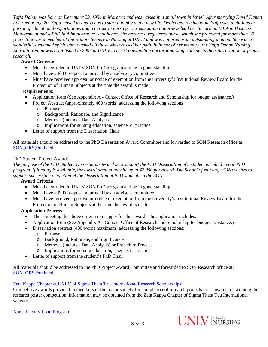*Yaffa Dahan was born on December 29, 1954 in Morocco and was raised in a small town in Israel. After marrying David Dahan in Israel at age 20, Yaffa moved to Las Vegas to start a family and a new life. Dedicated to education, Yaffa was ambitious in pursuing educational opportunities and a career in nursing. Her educational journeys lead her to earn an MBA in Business Management and a PhD in Administrative Healthcare. She became a registered nurse, which she practiced for more than 28 years. She was a member of the Honors Society in Nursing at UNLV and was honored as an outstanding alumna. She was a wonderful, dedicated spirit who touched all those who crossed her path. In honor of her memory, the Yaffa Dahan Nursing Education Fund was established in 2007 at UNLV to assist outstanding doctoral nursing students in their dissertation or project research.*

# **Award Criteria:**

- Must be enrolled in UNLV SON PhD program and be in good standing
- Must have a PhD proposal approved by an advisory committee
- Must have received approval or notice of exemption from the university's Institutional Review Board for the Protection of Human Subjects at the time the award is made

#### **Requirements:**

- Application form (See Appendix A Contact Office of Research and Scholarship for budget assistance.)
- Project Abstract (approximately 400 words) addressing the following sections
	- o Purpose
	- o Background, Rationale, and Significance
	- o Methods (includes Data Analysis
	- o Implications for nursing education, science, or practice
- Letter of support from the Dissertation Chair

All materials should be addressed to the PhD Dissertation Award Committee and forwarded to SON Research office at: SON\_ORS@unlv.edu

#### PhD Student Project Award:

*The purpose of the PhD Student Dissertation Award is to support the PhD Dissertation of a student enrolled in our PhD program. If funding is available, the award amount may be up to \$2,000 per award. The School of Nursing (SON) wishes to support successful completion of the Dissertation of PhD students in the SON.*

#### **Award Criteria**

- Must be enrolled in UNLV SON PhD program and be in good standing
- Must have a PhD proposal approved by an advisory committee
- Must have received approval or notice of exemption from the university's Institutional Review Board for the Protection of Human Subjects at the time the award is made

#### **Application Process**

- Those meeting the above criteria may apply for this award. The application includes:
- Application form (See Appendix A Contact Office of Research and Scholarship for budget assistance.)
- Dissertation abstract (400 words maximum) addressing the following sections:
	- o Purpose
	- o Background, Rationale, and Significance
	- o Methods (includes Data Analysis) or Procedure/Process
	- o Implications for nursing education, science, or practice
- Letter of support from the student's PhD Chair

All materials should be addressed to the PhD Project Award Committee and forwarded to SON Research office at: SON\_ORS@unlv.edu

#### [Zeta Kappa Chapter at UNLV of Sigma Theta Tau International Research Scholarships:](http://zetakappa.nursingsociety.org/home)

Competitive awards provided to members of the honor society for completion of research projects or as awards for winning the research poster competition. Information may be obtained from the Zeta Kappa Chapter of Sigma Theta Tau International website.

[Nurse Faculty Loan Program:](https://bhw.hrsa.gov/fundingopportunities/?id=bd03570b-3eb6-4a77-a1e3-4326ce292907)

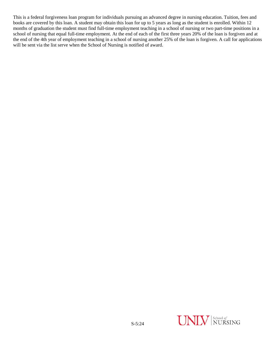This is a federal forgiveness loan program for individuals pursuing an advanced degree in nursing education. Tuition, fees and books are covered by this loan. A student may obtain this loan for up to 5 years as long as the student is enrolled. Within 12 months of graduation the student must find full-time employment teaching in a school of nursing or two part-time positions in a school of nursing that equal full-time employment. At the end of each of the first three years 20% of the loan is forgiven and at the end of the 4th year of employment teaching in a school of nursing another 25% of the loan is forgiven. A call for applications will be sent via the list serve when the School of Nursing is notified of award.

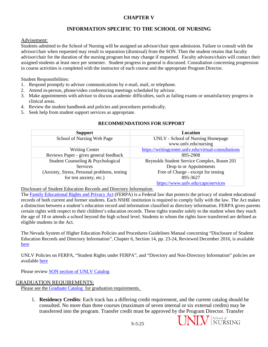# **CHAPTER V**

# **INFORMATION SPECIFIC TO THE SCHOOL OF NURSING**

#### Advisement:

Students admitted to the School of Nursing will be assigned an advisor/chair upon admission. Failure to consult with the advisor/chair when requested may result in separation (dismissal) from the SON. Then the student retains that faculty advisor/chair for the duration of the nursing program but may change if requested. Faculty advisors/chairs will contact their assigned students at least once per semester. Student progress in general is discussed. Consultation concerning progression in course activities is completed with the instructor of each course and the appropriate Program Director.

Student Responsibilities:

- 1. Respond promptly to advisor communications by e-mail, mail, or telephone.
- 2. Attend in-person, phone/video conferencing meetings scheduled by advisor.
- 3. Make appointments with advisor to discuss academic difficulties, such as failing exams or unsatisfactory progress in clinical areas.
- 4. Review the student handbook and policies and procedures periodically.
- 5. Seek help from student support services as appropriate.

#### **RECOMMENDATIONS FOR SUPPORT**

| <b>Support</b>                               | <b>Location</b>                                      |
|----------------------------------------------|------------------------------------------------------|
| School of Nursing Web Page                   | UNLV - School of Nursing Homepage                    |
|                                              | www.unlv.edu/nursing                                 |
| <b>Writing Center</b>                        | https://writingcenter.unly.edu/virtual-consultations |
| Reviews Paper - gives general feedback       | 895-2908                                             |
| Student Counseling & Psychological           | Reynolds Student Service Complex, Room 201           |
| <b>Services</b>                              | Drop in or Appointments                              |
| (Anxiety, Stress, Personal problems, testing | Free of Charge - except for testing                  |
| for test anxiety, etc.)                      | 895-3627                                             |
|                                              | https://www.unlv.edu/caps/services                   |

Disclosure of Student Education Records and Directory Information

The [Family Educational Rights and Privacy Act](https://www.unlv.edu/registrar/ferpa) (FERPA) is a Federal law that protects the privacy of student educational records of both current and former students. Each NSHE institution is required to comply fully with the law. The Act makes a distinction between a student's education record and information classified as directory information. FERPA gives parents certain rights with respect to their children's education records. These rights transfer solely to the student when they reach the age of 18 or attends a school beyond the high school level. Students to whom the rights have transferred are defined as eligible students in the Act.

The Nevada System of Higher Education Policies and Procedures Guidelines Manual concerning "Disclosure of Student Education Records and Directory Information", Chapter 6, Section 14, pp. 23-24, Reviewed December 2016, is available [here](http://system.nevada.edu/tasks/sites/Nshe/assets/File/BoardOfRegents/Procedures/PGMCH06ACADEMICPROCEDURES(1).pdf)

UNLV Policies on FERPA, "Student Rights under FERPA", and "Directory and Non-Directory Information" policies are available [here](https://www.unlv.edu/registrar/ferpa)

Please review [SON section of UNLV Catalog](https://catalog.unlv.edu/content.php?catoid=34&navoid=8812)

## <span id="page-24-0"></span>GRADUATION REQUIREMENTS:

Please see the [Graduate Catalog](https://www.unlv.edu/graduatecollege/graduatecatalog) for graduation requirements.

1. **Residency Credits**: Each track has a differing credit requirement, and the current catalog should be consulted. No more than three courses (maximum of seven internal or six external credits) may be transferred into the program. Transfer credit must be approved by the Program Director. Transfer

School of<br>NURSING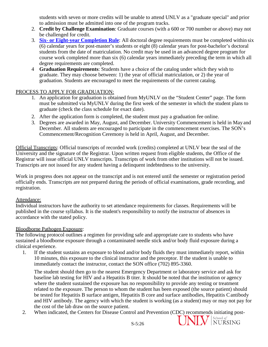students with seven or more credits will be unable to attend UNLV as a "graduate special" and prior to admission must be admitted into one of the program tracks.

- 2. **Credit by Challenge Examination**: Graduate courses (with a 600 or 700 number or above) may not be challenged for credit.
- 3. **Six- or Eight-year Completion Rule**: All doctoral degree requirements must be completed within six (6) calendar years for post-master's students or eight (8) calendar years for post-bachelor's doctoral students from the date of matriculation. No credit may be used in an advanced degree program for course work completed more than six (6) calendar years immediately preceding the term in which all degree requirements are completed.
- 4 **Graduation Requirements**: Students have a choice of the catalog under which they wish to graduate. They may choose between: 1) the year of official matriculation, or 2) the year of graduation. Students are encouraged to meet the requirements of the current catalog.

## PROCESS TO APPLY FOR GRADUATION:

- 1. An application for graduation is obtained from MyUNLV on the "Student Center" page. The form must be submitted via MyUNLV during the first week of the semester in which the student plans to graduate (check the class schedule for exact date).
- 2. After the application form is completed, the student must pay a graduation fee online.
- 3. Degrees are awarded in May, August, and December. University Commencement is held in May and December. All students are encouraged to participate in the commencement exercises. The SON's Commencement/Recognition Ceremony is held in April, August, and December.

Official Transcripts: Official transcripts of recorded work (credits) completed at UNLV bear the seal of the University and the signature of the Registrar. Upon written request from eligible students, the Office of the Registrar will issue official UNLV transcripts. Transcripts of work from other institutions will not be issued. Transcripts are not issued for any student having a delinquent indebtedness to the university.

Work in progress does not appear on the transcript and is not entered until the semester or registration period officially ends. Transcripts are not prepared during the periods of official examinations, grade recording, and registration.

## <span id="page-25-0"></span>Attendance:

Individual instructors have the authority to set attendance requirements for classes. Requirements will be published in the course syllabus. It is the student's responsibility to notify the instructor of absences in accordance with the stated policy.

## Bloodborne Pathogen Exposure:

The following protocol outlines a regimen for providing safe and appropriate care to students who have sustained a bloodborne exposure through a contaminated needle stick and/or body fluid exposure during a clinical experience.

1. If the student sustains an exposure to blood and/or body fluids they must immediately report, within 10 minutes, this exposure to the clinical instructor and the preceptor. If the student is unable to immediately contact the instructor, contact the SON office (702) 895-3360.

The student should then go to the nearest Emergency Department or laboratory service and ask for baseline lab testing for HIV and a Hepatitis B titer. It should be noted that the institution or agency where the student sustained the exposure has no responsibility to provide any testing or treatment related to the exposure. The person to whom the student has been exposed (the source patient) should be tested for Hepatitis B surface antigen, Hepatitis B core and surface antibodies, Hepatitis C antibody and HIV antibody. The agency with which the student is working (as a student) may or may not pay for the cost of the lab draw on the source patient.

2. When indicated, the Centers for Disease Control and Prevention (CDC) recommends initiating post-<br>S-5:26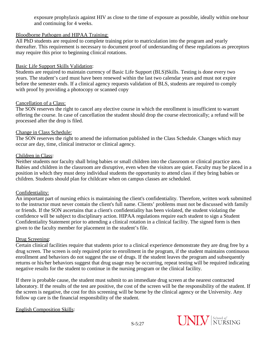exposure prophylaxis against HIV as close to the time of exposure as possible, ideally within one hour and continuing for 4 weeks.

#### Bloodborne Pathogen and HIPAA Training:

All PhD students are required to complete training prior to matriculation into the program and yearly thereafter. This requirement is necessary to document proof of understanding of these regulations as preceptors may require this prior to beginning clinical rotations.

#### Basic Life Support Skills Validation:

Students are required to maintain currency of Basic Life Support (BLS)Skills. Testing is done every two years. The student's card must have been renewed within the last two calendar years and must not expire before the semester ends. If a clinical agency requests validation of BLS, students are required to comply with proof by providing a photocopy or scanned copy

#### Cancellation of a Class:

The SON reserves the right to cancel any elective course in which the enrollment is insufficient to warrant offering the course. In case of cancellation the student should drop the course electronically; a refund will be processed after the drop is filed.

#### Change in Class Schedule:

The SON reserves the right to amend the information published in the Class Schedule. Changes which may occur are day, time, clinical instructor or clinical agency.

#### Children in Class:

Neither students nor faculty shall bring babies or small children into the classroom or clinical practice area. Babies and children in the classroom are disruptive, even when the visitors are quiet. Faculty may be placed in a position in which they must deny individual students the opportunity to attend class if they bring babies or children. Students should plan for childcare when on campus classes are scheduled.

## Confidentiality:

An important part of nursing ethics is maintaining the client's confidentiality. Therefore, written work submitted to the instructor must never contain the client's full name. Clients' problems must not be discussed with family or friends. If the SON ascertains that a client's confidentiality has been violated, the student violating the confidence will be subject to disciplinary action. HIPAA regulations require each student to sign a Student Confidentiality Statement prior to attending a clinical rotation in a clinical facility. The signed form is then given to the faculty member for placement in the student's file.

#### Drug Screening:

Certain clinical facilities require that students prior to a clinical experience demonstrate they are drug free by a drug screen. The screen is only required prior to enrollment in the program, if the student maintains continuous enrollment and behaviors do not suggest the use of drugs. If the student leaves the program and subsequently returns or his/her behaviors suggest that drug usage may be occurring, repeat testing will be required indicating negative results for the student to continue in the nursing program or the clinical facility.

If there is probable cause, the student must submit to an immediate drug screen at the nearest contracted laboratory. If the results of the test are positive, the cost of the screen will be the responsibility of the student. If the screen is negative, the cost for this screening will be borne by the clinical agency or the University. Any follow up care is the financial responsibility of the student.

## English Composition Skills:

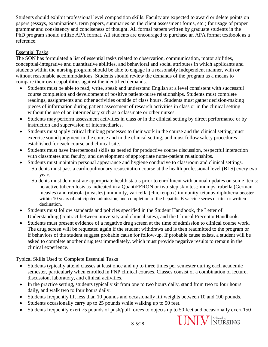Students should exhibit professional level composition skills. Faculty are expected to award or delete points on papers (essays, examinations, term papers, summaries on the client assessment forms, etc.) for usage of proper grammar and consistency and conciseness of thought. All formal papers written by graduate students in the PhD program should utilize APA format. All students are encouraged to purchase an APA format textbook as a reference.

# Essential Tasks:

The SON has formulated a list of essential tasks related to observation, communication, motor abilities, conceptual-integrative and quantitative abilities, and behavioral and social attributes in which applicants and students within the nursing program should be able to engage in a reasonably independent manner, with or without reasonable accommodations. Students should review the demands of the program as a means to compare their own capabilities against the identified demands.

- Students must be able to read, write, speak and understand English at a level consistent with successful course completion and development of positive patient-nurse relationships. Students must complete readings, assignments and other activities outside of class hours. Students must gather decision-making pieces of information during patient assessment of research activities in class or in the clinical setting without the use of an intermediary such as a classmate or other nurses.
- Students may perform assessment activities in class or in the clinical setting by direct performance or by instruction and supervision of intermediaries.
- Students must apply critical thinking processes to their work in the course and the clinical setting, must exercise sound judgment in the course and in the clinical setting, and must follow safety procedures established for each course and clinical site.
- Students must have interpersonal skills as needed for productive course discussion, respectful interaction with classmates and faculty, and development of appropriate nurse-patient relationships.
- Students must maintain personal appearance and hygiene conducive to classroom and clinical settings. Students must pass a cardiopulmonary resuscitation course at the health professional level (BLS) every two years.
	- Students must demonstrate appropriate health status prior to enrollment with annual updates on some items: no active tuberculosis as indicated in a QuantiFERON or two-step skin test; mumps, rubella (German measles) and rubeola (measles) immunity, varicella (chickenpox) immunity, tetanus-diphtheria booster within 10 years of anticipated admission, and completion of the hepatitis B vaccine series or titer or written declination.
- Students must follow standards and policies specified in the Student Handbook, the Letter of Understanding (contract between university and clinical sites), and the Clinical Preceptor Handbook.
- Students must present evidence of a negative drug screen at the time of admission to clinical course work. The drug screen will be requested again if the student withdraws and is then readmitted to the program or if behaviors of the student suggest probable cause for follow-up. If probable cause exists, a student will be asked to complete another drug test immediately, which must provide negative results to remain in the clinical experience.

Typical Skills Used to Complete Essential Tasks

- Students typically attend classes at least once and up to three times per semester during each academic semester, particularly when enrolled in FNP clinical courses. Classes consist of a combination of lecture, discussion, laboratory, and clinical activities.
- In the practice setting, students typically sit from one to two hours daily, stand from two to four hours daily, and walk two to four hours daily.
- Students frequently lift less than 10 pounds and occasionally lift weights between 10 and 100 pounds.
- Students occasionally carry up to 25 pounds while walking up to 50 feet.
- Students frequently exert 75 pounds of push/pull forces to objects up to 50 feet and occasionally exert 150

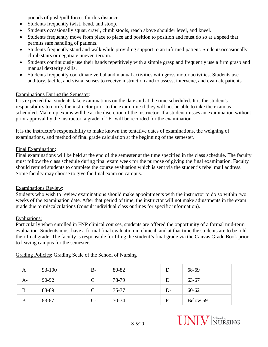pounds of push/pull forces for this distance.

- Students frequently twist, bend, and stoop.
- Students occasionally squat, crawl, climb stools, reach above shoulder level, and kneel.
- Students frequently move from place to place and position to position and must do so at a speed that permits safe handling of patients.
- Students frequently stand and walk while providing support to an infirmed patient. Students occasionally climb stairs or negotiate uneven terrain.
- Students continuously use their hands repetitively with a simple grasp and frequently use a firm grasp and manual dexterity skills.
- Students frequently coordinate verbal and manual activities with gross motor activities. Students use auditory, tactile, and visual senses to receive instruction and to assess, intervene, and evaluate patients.

# Examinations During the Semester:

It is expected that students take examinations on the date and at the time scheduled. It is the student's responsibility to notify the instructor prior to the exam time if they will not be able to take the exam as scheduled. Make-up exams will be at the discretion of the instructor. If a student misses an examination without prior approval by the instructor, a grade of "F" will be recorded for the examination.

It is the instructor's responsibility to make known the tentative dates of examinations, the weighing of examinations, and method of final grade calculation at the beginning of the semester.

# Final Examination:

Final examinations will be held at the end of the semester at the time specified in the class schedule. The faculty must follow the class schedule during final exam week for the purpose of giving the final examination. Faculty should remind students to complete the course evaluation which is sent via the student's rebel mail address. Some faculty may choose to give the final exam on campus.

# Examinations Review:

Students who wish to review examinations should make appointments with the instructor to do so within two weeks of the examination date. After that period of time, the instructor will not make adjustments in the exam grade due to miscalculations (consult individual class outlines for specific information).

# Evaluations:

Particularly when enrolled in FNP clinical courses, students are offered the opportunity of a formal mid-term evaluation. Students must have a formal final evaluation in clinical, and at that time the students are to be told their final grade. The faculty is responsible for filing the student's final grade via the Canvas Grade Book prior to leaving campus for the semester.

| A    | 93-100 | $B-$           | 80-82     | $D+$ | 68-69     |
|------|--------|----------------|-----------|------|-----------|
| A-   | 90-92  | $C+$           | 78-79     | D    | 63-67     |
| $B+$ | 88-89  | $\overline{C}$ | $75 - 77$ | $D-$ | $60 - 62$ |
| B    | 83-87  | $C-$           | 70-74     | F    | Below 59  |

Grading Policies: Grading Scale of the School of Nursing

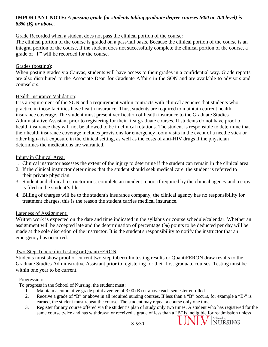# **IMPORTANT NOTE:** *A passing grade for students taking graduate degree courses (600 or 700 level) is 83% (B) or above***.**

#### Grade Recorded when a student does not pass the clinical portion of the course:

The clinical portion of the course is graded on a pass/fail basis. Because the clinical portion of the course is an integral portion of the course, if the student does not successfully complete the clinical portion of the course, a grade of "F" will be recorded for the course.

#### Grades (posting):

When posting grades via Canvas, students will have access to their grades in a confidential way. Grade reports are also distributed to the Associate Dean for Graduate Affairs in the SON and are available to advisors and counselors.

#### Health Insurance Validation:

It is a requirement of the SON and a requirement within contracts with clinical agencies that students who practice in those facilities have health insurance. Thus, students are required to maintain current health insurance coverage. The student must present verification of health insurance to the Graduate Studies Administrative Assistant prior to registering for their first graduate courses. If students do not have proof of health insurance they will not be allowed to be in clinical rotations. The student is responsible to determine that their health insurance coverage includes provisions for emergency room visits in the event of a needle stick or other high- risk exposure in the clinical setting, as well as the costs of anti-HIV drugs if the physician determines the medications are warranted.

#### Injury in Clinical Area:

- 1. Clinical instructor assesses the extent of the injury to determine if the student can remain in the clinical area.
- 2. If the clinical instructor determines that the student should seek medical care, the student is referred to their private physician.
- 3. Student and clinical instructor must complete an incident report if required by the clinical agency and a copy is filed in the student's file.
- 4. Billing of charges will be to the student's insurance company; the clinical agency has no responsibility for treatment charges, this is the reason the student carries medical insurance.

## Lateness of Assignment:

Written work is expected on the date and time indicated in the syllabus or course schedule/calendar. Whether an assignment will be accepted late and the determination of percentage (%) points to be deducted per day will be made at the sole discretion of the instructor. It is the student's responsibility to notify the instructor that an emergency has occurred.

## Two-Step Tuberculin Testing or QuantiFERON:

Students must show proof of current two-step tuberculin testing results or QuantiFERON draw results to the Graduate Studies Administrative Assistant prior to registering for their first graduate courses. Testing must be within one year to be current.

#### [Progression:](https://www.unlv.edu/sites/default/files/page_files/27/StudentPolicy-ProgressionWithdrawalSuspension.pdf)

To progress in the School of Nursing, the student must:

- 1. Maintain a cumulative grade point average of 3.00 (B) or above each semester enrolled.
- 2. Receive a grade of "B" or above in all required nursing courses. If less than a "B" occurs, for example a "B-" is earned, the student must repeat the course. The student may repeat a course only one time.
- 3. Register for any course offered via the student's plan of study only two times. A student who has registered for the same course twice and has withdrawn or received a grade of less than a "B" is ineligible for readmission unless  $\prod_{\alpha} \prod_{\beta} \prod_{\beta}$

**NURSING**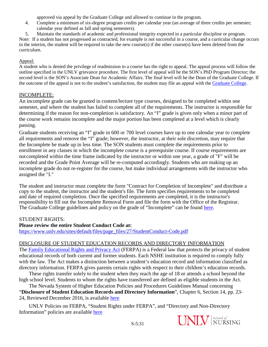approved via appeal by the Graduate College and allowed to continue in the program.

- 4. Complete a minimum of six-degree program credits per calendar year (an average of three credits per semester; calendar year defined as fall and spring semesters).
- 5. Maintain the standards of academic and professional integrity expected in a particular discipline or program.

Note: If a student has not progressed as contracted, for example is not successful in a course, and a curricular change occurs in the interim, the student will be required to take the new course(s) if the other course(s) have been deleted from the curriculum.

#### Appeal:

A student who is denied the privilege of readmission to a course has the right to appeal. The appeal process will follow the outline specified in the UNLV grievance procedure. The first level of appeal will be the SON's PhD Program Director; the second level is the SON's Associate Dean for Academic Affairs. The final level will be the Dean of the Graduate College. If the outcome of the appeal is not to the student's satisfaction, the student may file an appeal with the [Graduate College.](https://www.unlv.edu/graduatecollege)

## <span id="page-30-1"></span><span id="page-30-0"></span>INCOMPLETE:

An incomplete grade can be granted in content/lecture type courses, designed to be completed within one semester, and where the student has failed to complete all of the requirements. The instructor is responsible for determining if the reason for non-completion is satisfactory. An "I" grade is given only when a minor part of the course work remains incomplete and the major portion has been completed at a level which is clearly passing.

Graduate students receiving an "I" grade in 600 or 700 level courses have up to one calendar year to complete all requirements and remove the "I" grade; however, the instructor, at their sole discretion, may require that the Incomplete be made up in less time. The SON students must complete the requirements prior to enrollment in any classes in which the incomplete course is a prerequisite course. If course requirements are not completed within the time frame indicated by the instructor or within one year, a grade of "F" will be recorded and the Grade Point Average will be re-computed accordingly. Students who are making up an incomplete grade do not re-register for the course, but make individual arrangements with the instructor who assigned the "I."

The student and instructor must complete the form "Contract for Completion of Incomplete" and distribute a copy to the student, the instructor and the student's file. The form specifies requirements to be completed and date of required completion. Once the specified requirements are completed, it is the instructor's responsibility to fill out the Incomplete Removal Form and file the form with the Office of the Registrar. The Graduate College guidelines and policy on the grade of "Incomplete" can be found here.

## <span id="page-30-2"></span>STUDENT RIGHTS:

**Please review the entire Student Conduct Code at:** https:/[/www.unlv.edu/sites/default/files/page\\_files/27/StudentConduct-Code.pdf](http://www.unlv.edu/sites/default/files/page_files/27/StudentConduct-Code.pdf)

## <span id="page-30-3"></span>DISCLOSURE OF STUDENT EDUCATION RECORDS AND DIRECTORY INFORMATION

The Family Educational Rights and Privacy Act (FERPA) is a Federal law that protects the privacy of student educational records of both current and former students. Each NSHE institution is required to comply fully with the law. The Act makes a distinction between a student's education record and information classified as directory information. FERPA gives parents certain rights with respect to their children's education records.

These rights transfer solely to the student when they reach the age of 18 or attends a school beyond the high school level. Students to whom the rights have transferred are defined as eligible students in the Act.

The Nevada System of Higher Education Policies and Procedures Guidelines Manual concerning "**Disclosure of Student Education Records and Directory Information**", Chapter 6, Section 14, pp. 23- 24, Reviewed December 2016, is available here

UNLV Policies on FERPA, "Student Rights under FERPA", and "Directory and Non-Directory Information" policies are available here

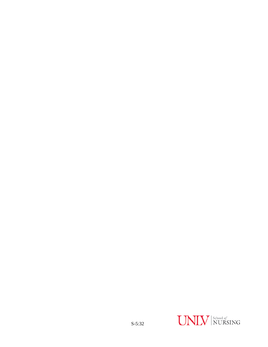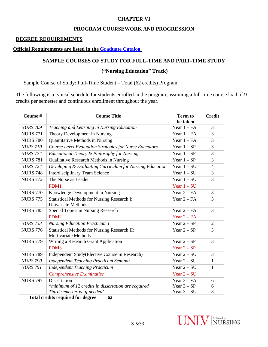# **CHAPTER VI**

# **PROGRAM COURSEWORK AND PROGRESSION**

#### <span id="page-32-0"></span>**DEGREE REQUIREMENTS**

#### **Official Requirements are listed in the [Graduate Catalog](https://www.unlv.edu/graduatecollege/graduatecatalog)**

#### **SAMPLE COURSES OF STUDY FOR FULL-TIME AND PART-TIME STUDY**

#### **("Nursing Education" Track)**

#### Sample Course of Study: Full-Time Student – Total (62 credits) Program

The following is a typical schedule for students enrolled in the program, assuming a full-time course load of 9 credits per semester and continuous enrollment throughout the year.

| Course #        | <b>Course Title</b>                                                         | <b>Term to</b><br>be taken | <b>Credit</b>  |
|-----------------|-----------------------------------------------------------------------------|----------------------------|----------------|
| <b>NURS 709</b> | Teaching and Learning in Nursing Education                                  | Year $1 - FA$              | 3              |
| <b>NURS 771</b> | Theory Development in Nursing                                               | Year $1 - FA$              | 3              |
| <b>NURS 780</b> | Quantitative Methods in Nursing                                             | Year $1 - FA$              | 3              |
| <b>NURS 710</b> | Course Level Evaluation Strategies for Nurse Educators                      | Year $1 - SP$              | 3              |
| <b>NURS 774</b> | Educational Theory & Philosophy for Nursing                                 | Year $1 - SP$              | 3              |
| <b>NURS 781</b> | Qualitative Research Methods in Nursing                                     | Year $1 - SP$              | 3              |
| <b>NURS 724</b> | Developing & Evaluating Curriculum for Nursing Education                    | Year $1 - SU$              | $\overline{4}$ |
| <b>NURS 748</b> | <b>Interdisciplinary Team Science</b>                                       | Year $1 - SU$              | 3              |
| <b>NURS 772</b> | The Nurse as Leader                                                         | Year $1 - SU$              | 3              |
|                 | PDM1                                                                        | Year $1 - SU$              |                |
| <b>NURS 770</b> | Knowledge Development in Nursing                                            | Year $2 - FA$              | 3              |
| <b>NURS 775</b> | Statistical Methods for Nursing Research I:<br><b>Univariate Methods</b>    | Year $2 - FA$              | 3              |
| <b>NURS 785</b> | Special Topics in Nursing Research                                          | Year $2 - FA$              | 3              |
|                 | PDM <sub>2</sub>                                                            | Year $2 - FA$              |                |
| <b>NURS 733</b> | <b>Nursing Education Practicum I</b>                                        | Year $2 - SP$              | $\overline{2}$ |
| <b>NURS 776</b> | Statistical Methods for Nursing Research II:<br><b>Multivariate Methods</b> | Year $2 - SP$              | 3              |
| <b>NURS 779</b> | Writing a Research Grant Application                                        | Year $2 - SP$              | 3              |
|                 | PDM3                                                                        | Year $2 - SP$              |                |
| <b>NURS 789</b> | Independent Study(Elective Course in Research)                              | Year $2 - SU$              | 3              |
| <b>NURS 790</b> | <b>Independent Teaching Practicum Seminar</b>                               | Year $2 - SU$              | 1              |
| <b>NURS 791</b> | <b>Independent Teaching Practicum</b>                                       | Year $2 - SU$              | 1              |
|                 | <b>Comprehensive Examination</b>                                            | Year $2 - SU$              |                |
| <b>NURS 797</b> | Dissertation                                                                | Year $3 - FA$              | 6              |
|                 | *minimum of 12 credits in dissertation are required                         | Year $3 - SP$              | 6              |
|                 | Third semester is 'if needed'                                               | Year $3 - SU$              | 3              |

**Total credits required for degree 62** 

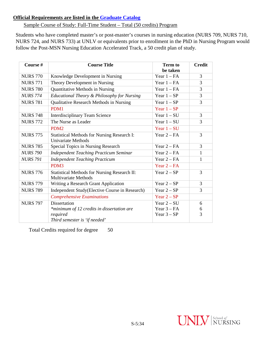# Sample Course of Study: Full-Time Student – Total (50 credits) Program

Students who have completed master's or post-master's courses in nursing education (NURS 709, NURS 710, NURS 724, and NURS 733) at UNLV or equivalents prior to enrollment in the PhD in Nursing Program would follow the Post-MSN Nursing Education Accelerated Track, a 50 credit plan of study.

| Course #        | <b>Course Title</b>                                                         | <b>Term to</b><br>be taken | <b>Credit</b> |
|-----------------|-----------------------------------------------------------------------------|----------------------------|---------------|
| <b>NURS 770</b> | Knowledge Development in Nursing                                            | Year $1 - FA$              | 3             |
| <b>NURS 771</b> | Theory Development in Nursing                                               | Year $1 - FA$              | 3             |
| <b>NURS 780</b> | Quantitative Methods in Nursing                                             | Year $1 - FA$              | 3             |
| <b>NURS 774</b> | Educational Theory & Philosophy for Nursing                                 | Year $1 - SP$              | 3             |
| <b>NURS 781</b> | Qualitative Research Methods in Nursing                                     | Year $1 - SP$              | 3             |
|                 | PDM1                                                                        | Year $1 - SP$              |               |
| <b>NURS 748</b> | <b>Interdisciplinary Team Science</b>                                       | Year $1-SU$                | 3             |
| <b>NURS 772</b> | The Nurse as Leader                                                         | Year $1 - SU$              | 3             |
|                 | PDM <sub>2</sub>                                                            | Year $1 - SU$              |               |
| <b>NURS 775</b> | <b>Statistical Methods for Nursing Research I:</b><br>Univariate Methods    | Year $2$ – FA              | 3             |
| <b>NURS 785</b> | Special Topics in Nursing Research                                          | Year $2 - FA$              | 3             |
| <b>NURS 790</b> | <b>Independent Teaching Practicum Seminar</b>                               | Year $2$ – FA              | 1             |
| <b>NURS 791</b> | <b>Independent Teaching Practicum</b>                                       | Year $2$ – FA              | 1             |
|                 | PDM3                                                                        | Year $2 - FA$              |               |
| <b>NURS 776</b> | Statistical Methods for Nursing Research II:<br><b>Multivariate Methods</b> | Year $2 - SP$              | 3             |
| <b>NURS 779</b> | Writing a Research Grant Application                                        | Year $2 - SP$              | 3             |
| <b>NURS 789</b> | Independent Study(Elective Course in Research)                              | Year $2 - SP$              | 3             |
|                 | <b>Comprehensive Examinations</b>                                           | Year $2 - SP$              |               |
| <b>NURS 797</b> | <b>Dissertation</b>                                                         | Year $2 - SU$              | 6             |
|                 | *minimum of 12 credits in dissertation are                                  | Year $3 - FA$              | 6             |
|                 | required<br>Third semester is 'if needed'                                   | Year $3 - SP$              | 3             |

Total Credits required for degree 50

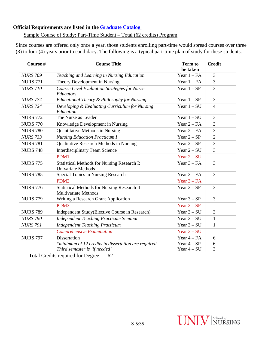Sample Course of Study: Part-Time Student – Total (62 credits) Program

Since courses are offered only once a year, those students enrolling part-time would spread courses over three (3) to four (4) years prior to candidacy. The following is a typical part-time plan of study for these students.

| Course #        | <b>Course Title</b>                                                         | <b>Term to</b><br>be taken | <b>Credit</b>  |
|-----------------|-----------------------------------------------------------------------------|----------------------------|----------------|
| <b>NURS 709</b> | Teaching and Learning in Nursing Education                                  | Year $1 - FA$              | $\overline{3}$ |
| <b>NURS 771</b> | Theory Development in Nursing                                               | Year $1 - FA$              | 3              |
| <b>NURS 710</b> | Course Level Evaluation Strategies for Nurse<br>Educators                   | Year $1 - SP$              | 3              |
| <b>NURS 774</b> | Educational Theory & Philosophy for Nursing                                 | Year $1 - SP$              | 3              |
| <b>NURS 724</b> | Developing & Evaluating Curriculum for Nursing<br>Education                 | Year $1 - SU$              | $\overline{4}$ |
| <b>NURS 772</b> | The Nurse as Leader                                                         | Year $1-SU$                | 3              |
| <b>NURS 770</b> | Knowledge Development in Nursing                                            | Year $2 - FA$              | 3              |
| <b>NURS 780</b> | Quantitative Methods in Nursing                                             | Year $2 - FA$              | 3              |
| <b>NURS 733</b> | <b>Nursing Education Practicum I</b>                                        | Year $2 - SP$              | $\overline{2}$ |
| <b>NURS 781</b> | Qualitative Research Methods in Nursing                                     | Year $2 - SP$              | 3              |
| <b>NURS 748</b> | <b>Interdisciplinary Team Science</b>                                       | Year $2 - SU$              | $\overline{3}$ |
|                 | PDM1                                                                        | Year $2 - SU$              |                |
| <b>NURS 775</b> | Statistical Methods for Nursing Research I:<br>Univariate Methods           | Year $3 - FA$              | $\overline{3}$ |
| <b>NURS 785</b> | Special Topics in Nursing Research                                          | Year $3 - FA$              | $\overline{3}$ |
|                 | PDM <sub>2</sub>                                                            | Year $3 - FA$              |                |
| <b>NURS 776</b> | <b>Statistical Methods for Nursing Research II:</b><br>Multivariate Methods | Year $3 - SP$              | $\overline{3}$ |
| <b>NURS 779</b> | Writing a Research Grant Application                                        | Year $3 - SP$              | $\overline{3}$ |
|                 | PDM3                                                                        | Year $3 - SP$              |                |
| <b>NURS 789</b> | Independent Study(Elective Course in Research)                              | Year $3 - SU$              | 3              |
| <b>NURS 790</b> | Independent Teaching Practicum Seminar                                      | Year $3 - SU$              | $\mathbf{1}$   |
| <b>NURS 791</b> | <b>Independent Teaching Practicum</b>                                       | Year $3 - SU$              | $\mathbf{1}$   |
|                 | Comprehensive Examination                                                   | Year $3 - SU$              |                |
| <b>NURS 797</b> | <b>Dissertation</b>                                                         | Year $4 - FA$              | 6              |
|                 | *minimum of 12 credits in dissertation are required                         | Year $4 - SP$              | 6              |
|                 | Third semester is 'if needed'                                               | Year $4 - SU$              | 3              |

Total Credits required for Degree 62

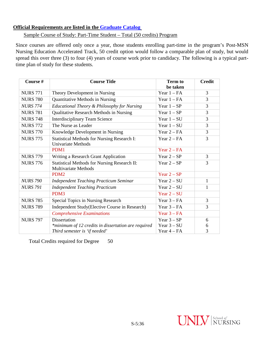Sample Course of Study: Part-Time Student – Total (50 credits) Program

Since courses are offered only once a year, those students enrolling part-time in the program's Post-MSN Nursing Education Accelerated Track, 50 credit option would follow a comparable plan of study, but would spread this over three (3) to four (4) years of course work prior to candidacy. The following is a typical parttime plan of study for these students.

| Course #        | <b>Course Title</b>                                                         | <b>Term to</b><br>be taken | <b>Credit</b> |
|-----------------|-----------------------------------------------------------------------------|----------------------------|---------------|
| <b>NURS 771</b> | Theory Development in Nursing                                               | Year $1 - FA$              | 3             |
| <b>NURS 780</b> | Quantitative Methods in Nursing                                             | Year $1 - FA$              | 3             |
| <b>NURS 774</b> | Educational Theory & Philosophy for Nursing                                 | Year $1 - SP$              | 3             |
| <b>NURS 781</b> | Qualitative Research Methods in Nursing                                     | Year $1 - SP$              | 3             |
| <b>NURS 748</b> | <b>Interdisciplinary Team Science</b>                                       | Year $1-SU$                | 3             |
| <b>NURS 772</b> | The Nurse as Leader                                                         | Year $1 - SU$              | 3             |
| <b>NURS 770</b> | Knowledge Development in Nursing                                            | Year $2 - FA$              | 3             |
| <b>NURS 775</b> | <b>Statistical Methods for Nursing Research I:</b><br>Univariate Methods    | Year $2 - FA$              | 3             |
|                 | PDM1                                                                        | Year $2 - FA$              |               |
| <b>NURS 779</b> | Writing a Research Grant Application                                        | Year $2 - SP$              | 3             |
| <b>NURS 776</b> | Statistical Methods for Nursing Research II:<br><b>Multivariate Methods</b> | Year $2 - SP$              | 3             |
|                 | PDM <sub>2</sub>                                                            | Year $2 - SP$              |               |
| <b>NURS 790</b> | <b>Independent Teaching Practicum Seminar</b>                               | Year $2-SU$                | $\mathbf{1}$  |
| <b>NURS 791</b> | <b>Independent Teaching Practicum</b>                                       | Year $2 - SU$              | 1             |
|                 | PDM3                                                                        | Year $2-SU$                |               |
| <b>NURS 785</b> | Special Topics in Nursing Research                                          | Year $3 - FA$              | 3             |
| <b>NURS 789</b> | Independent Study(Elective Course in Research)                              | Year $3 - FA$              | 3             |
|                 | <b>Comprehensive Examinations</b>                                           | Year $3 - FA$              |               |
| <b>NURS 797</b> | Dissertation                                                                | Year $3 - SP$              | 6             |
|                 | *minimum of 12 credits in dissertation are required                         | Year $3 - SU$              | 6             |
|                 | Third semester is 'if needed'                                               | Year $4 - FA$              | 3             |

Total Credits required for Degree 50

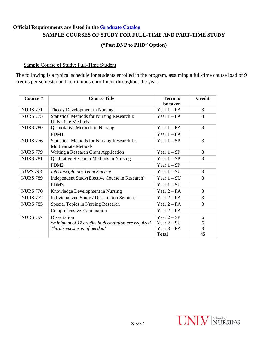# **SAMPLE COURSES OF STUDY FOR FULL-TIME AND PART-TIME STUDY**

# **("Post DNP to PHD" Option)**

#### Sample Course of Study: Full-Time Student

The following is a typical schedule for students enrolled in the program, assuming a full-time course load of 9 credits per semester and continuous enrollment throughout the year.

| Course #        | <b>Course Title</b>                                 | <b>Term to</b> | <b>Credit</b> |
|-----------------|-----------------------------------------------------|----------------|---------------|
|                 |                                                     | be taken       |               |
| <b>NURS 771</b> | Theory Development in Nursing                       | Year $1 - FA$  | 3             |
| <b>NURS 775</b> | Statistical Methods for Nursing Research I:         | Year $1 - FA$  | 3             |
|                 | Univariate Methods                                  |                |               |
| <b>NURS 780</b> | Quantitative Methods in Nursing                     | Year $1 - FA$  | 3             |
|                 | PDM1                                                | Year $1 - FA$  |               |
| <b>NURS 776</b> | Statistical Methods for Nursing Research II:        | Year $1 - SP$  | 3             |
|                 | <b>Multivariate Methods</b>                         |                |               |
| <b>NURS 779</b> | Writing a Research Grant Application                | Year $1 - SP$  | 3             |
| <b>NURS 781</b> | Qualitative Research Methods in Nursing             | Year $1 - SP$  | 3             |
|                 | PDM <sub>2</sub>                                    | Year $1 - SP$  |               |
| <b>NURS 748</b> | <b>Interdisciplinary Team Science</b>               | Year $1-SU$    | 3             |
| <b>NURS 789</b> | Independent Study (Elective Course in Research)     | Year $1 - SU$  | 3             |
|                 | PDM3                                                | Year $1-SU$    |               |
| <b>NURS 770</b> | Knowledge Development in Nursing                    | Year $2 - FA$  | 3             |
| <b>NURS 777</b> | Individualized Study / Dissertation Seminar         | Year $2 - FA$  | 3             |
| <b>NURS 785</b> | Special Topics in Nursing Research                  | Year $2 - FA$  | 3             |
|                 | Comprehensive Examination                           | Year $2 - FA$  |               |
| <b>NURS 797</b> | Dissertation                                        | Year $2 - SP$  | 6             |
|                 | *minimum of 12 credits in dissertation are required | Year $2 - SU$  | 6             |
|                 | Third semester is 'if needed'                       | Year $3 - FA$  | 3             |
|                 |                                                     | <b>Total</b>   | 45            |

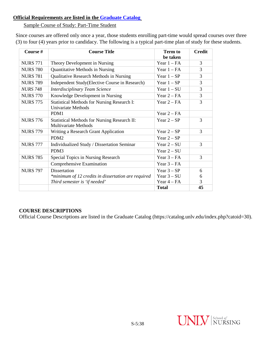# Sample Course of Study: Part-Time Student

Since courses are offered only once a year, those students enrolling part-time would spread courses over three (3) to four (4) years prior to candidacy. The following is a typical part-time plan of study for these students.

| Course #        | <b>Course Title</b>                                                      | <b>Term to</b><br>be taken | <b>Credit</b> |
|-----------------|--------------------------------------------------------------------------|----------------------------|---------------|
| <b>NURS 771</b> | Theory Development in Nursing                                            | Year $1 - FA$              | 3             |
| <b>NURS 780</b> | Quantitative Methods in Nursing                                          | Year $1 - FA$              | 3             |
| <b>NURS 781</b> | <b>Qualitative Research Methods in Nursing</b>                           | Year $1 - SP$              | 3             |
| <b>NURS 789</b> | Independent Study(Elective Course in Research)                           | Year $1 - SP$              | 3             |
| <b>NURS 748</b> | <b>Interdisciplinary Team Science</b>                                    | Year $1 - SU$              | 3             |
| <b>NURS 770</b> | Knowledge Development in Nursing                                         | Year $2 - FA$              | 3             |
| <b>NURS 775</b> | <b>Statistical Methods for Nursing Research I:</b><br>Univariate Methods | Year $2 - FA$              | 3             |
|                 | PDM1                                                                     | Year $2 - FA$              |               |
| <b>NURS 776</b> | Statistical Methods for Nursing Research II:<br>Multivariate Methods     | Year $2 - SP$              | 3             |
| <b>NURS 779</b> | Writing a Research Grant Application                                     | Year $2 - SP$              | 3             |
|                 | PDM <sub>2</sub>                                                         | Year $2 - SP$              |               |
| <b>NURS 777</b> | Individualized Study / Dissertation Seminar                              | Year $2 - SU$              | 3             |
|                 | PDM3                                                                     | Year $2 - SU$              |               |
| <b>NURS 785</b> | Special Topics in Nursing Research                                       | Year $3 - FA$              | 3             |
|                 | Comprehensive Examination                                                | Year $3 - FA$              |               |
| <b>NURS 797</b> | <b>Dissertation</b>                                                      | Year $3 - SP$              | 6             |
|                 | *minimum of 12 credits in dissertation are required                      | Year $3 - SU$              | 6             |
|                 | Third semester is 'if needed'                                            | Year $4 - FA$              | 3             |
|                 |                                                                          | <b>Total</b>               | 45            |

## <span id="page-37-0"></span>**COURSE DESCRIPTIONS**

Official Course Descriptions are listed in the Graduate Catalog (https://catalog.unlv.edu/index.php?catoid=30).

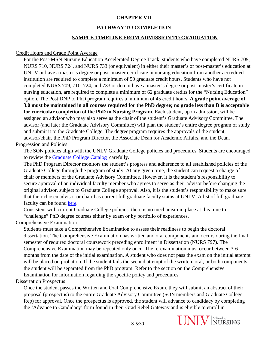# **CHAPTER VII**

# **PATHWAY TO COMPLETION**

# **SAMPLE TIMELINE FROM ADMISSION TO GRADUATION**

# <span id="page-38-0"></span>Credit Hours and Grade Point Average

For the Post-MSN Nursing Education Accelerated Degree Track, students who have completed NURS 709, NURS 710, NURS 724, and NURS 733 (or equivalent) in either their master's or post-master's education at UNLV or have a master's degree or post- master certificate in nursing education from another accredited institution are required to complete a minimum of 50 graduate credit hours. Students who have not completed NURS 709, 710, 724, and 733 or do not have a master's degree or post-master's certificate in nursing education, are required to complete a minimum of 62 graduate credits for the "Nursing Education" option. The Post DNP to PhD program requires a minimum of 45 credit hours. **A grade point average of 3.0 must be maintained in all courses required for the PhD degree; no grade less than B is acceptable for curricular completion of the PhD in Nursing Program**. Each student, upon admission, will be assigned an advisor who may also serve as the chair of the student's Graduate Advisory Committee. The advisor (and later the Graduate Advisory Committee) will plan the student's entire degree program of study and submit it to the Graduate College. The degree program requires the approvals of the student, advisor/chair, the PhD Program Director, the Associate Dean for Academic Affairs, and the Dean.

# Progression and Policies

The SON policies align with the UNLV Graduate College policies and procedures. Students are encouraged to review the [Graduate College Catalog](https://www.unlv.edu/graduatecollege/graduatecatalog) carefully.

The PhD Program Director monitors the student's progress and adherence to all established policies of the Graduate College through the program of study. At any given time, the student can request a change of chair or members of the Graduate Advisory Committee. However, it is the student's responsibility to secure approval of an individual faculty member who agrees to serve as their advisor before changing the original advisor, subject to Graduate College approval. Also, it is the student's responsibility to make sure that their chosen advisor or chair has current full graduate faculty status at UNLV. A list of full graduate faculty can be found [here.](https://www.unlv.edu/sites/default/files/page_files/27/GradCollege-GraduateFacultyStatus.pdf)

Consistent with current Graduate College policies, there is no mechanism in place at this time to "challenge" PhD degree courses either by exam or by portfolio of experiences.

# Comprehensive Examination

Students must take a Comprehensive Examination to assess their readiness to begin the doctoral dissertation. The Comprehensive Examination has written and oral components and occurs during the final semester of required doctoral coursework preceding enrollment in Dissertation (NURS 797). The Comprehensive Examination may be repeated only once. The re-examination must occur between 3-6 months from the date of the initial examination. A student who does not pass the exam on the initial attempt will be placed on probation. If the student fails the second attempt of the written, oral, or both components, the student will be separated from the PhD program. Refer to the section on the Comprehensive Examination for information regarding the specific policy and procedures.

## Dissertation Prospectus

Once the student passes the Written and Oral Comprehensive Exam, they will submit an abstract of their proposal (prospectus) to the entire Graduate Advisory Committee (SON members and Graduate College Rep) for approval. Once the prospectus is approved, the student will advance to candidacy by completing the 'Advance to Candidacy' form found in their Grad Rebel Gateway and is eligible to enroll in

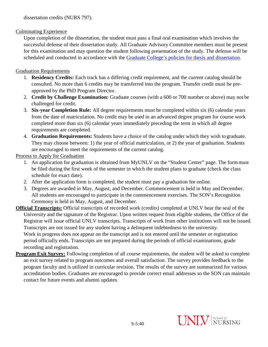Culminating Experience

Upon completion of the dissertation, the student must pass a final oral examination which involves the successful defense of their dissertation study. All Graduate Advisory Committee members must be present for this examination and may question the student following presentation of the study. The defense will be scheduled and conducted in accordance with the [Graduate College's policies for thesis and dissertation.](https://www.unlv.edu/graduatecollege/thesis)

# Graduation Requirements

- 1. **Residency Credits:** Each track has a differing credit requirement, and the current catalog should be consulted. No more than 6 credits may be transferred into the program. Transfer credit must be preapproved by the PhD Program Director.
- 2. **Credit by Challenge Examination:** Graduate courses (with a 600 or 700 number or above) may not be challenged for credit.
- 3. **Six-year Completion Rule:** All degree requirements must be completed within six (6) calendar years from the date of matriculation. No credit may be used in an advanced degree program for course work completed more than six (6) calendar years immediately preceding the term in which all degree requirements are completed.
- 4. **Graduation Requirements:** Students have a choice of the catalog under which they wish to graduate. They may choose between: 1) the year of official matriculation, or 2) the year of graduation. Students are encouraged to meet the requirements of the current catalog.

Process to Apply for Graduation

- 1. An application for graduation is obtained from MyUNLV on the "Student Center" page. The formmust be filed during the first week of the semester in which the student plans to graduate (check the class schedule for exact date).
- 2. After the application form is completed, the student must pay a graduation fee online.
- 3. Degrees are awarded in May, August, and December. Commencement is held in May and December. All students are encouraged to participate in the commencement exercises. The SON's Recognition Ceremony is held in May, August, and December.
- **Official Transcripts:** Official transcripts of recorded work (credits) completed at UNLV bear the seal of the University and the signature of the Registrar. Upon written request from eligible students, the Office of the Registrar will issue official UNLV transcripts. Transcripts of work from other institutions will not be issued. Transcripts are not issued for any student having a delinquent indebtedness to the university. Work in progress does not appear on the transcript and is not entered until the semester or registration period officially ends. Transcripts are not prepared during the periods of official examinations, grade recording and registration.
- **Program Exit Survey:** Following completion of all course requirements, the student will be asked to complete an exit survey related to program outcomes and overall satisfaction. The survey provides feedback to the program faculty and is utilized in curricular revision. The results of the survey are summarized for various accreditation bodies. Graduates are encouraged to provide correct email addresses so the SON can maintain contact for future events and alumni updates.

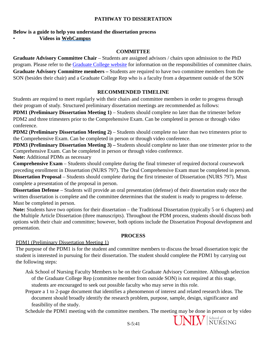# **PATHWAY TO DISSERTATION**

# <span id="page-40-0"></span>**Below is a guide to help you understand the dissertation process**

• **Videos in WebCampus**

#### **COMMITTEE**

**Graduate Advisory Committee Chair** – Students are assigned advisors / chairs upon admission to the PhD program. Please refer to the [Graduate College website](https://catalog.unlv.edu/content.php?catoid=34&navoid=8761) for information on the responsibilities of committee chairs. **Graduate Advisory Committee members –** Students are required to have two committee members from the SON (besides their chair) and a Graduate College Rep who is a faculty from a department outside of the SON

# **RECOMMENDED TIMELINE**

Students are required to meet regularly with their chairs and committee members in order to progress through their program of study. Structured preliminary dissertation meetings are recommended as follows:

**PDM1 (Preliminary Dissertation Meeting 1)** – Students should complete no later than the trimester before PDM2 and three trimesters prior to the Comprehensive Exam. Can be completed in person or through video conference.

**PDM2 (Preliminary Dissertation Meeting 2)** – Students should complete no later than two trimesters prior to the Comprehensive Exam. Can be completed in person or through video conference.

**PDM3 (Preliminary Dissertation Meeting 3)** – Students should complete no later than one trimester prior to the Comprehensive Exam. Can be completed in person or through video conference.

**Note:** Additional PDMs as necessary

**Comprehensive Exam** – Students should complete during the final trimester of required doctoral coursework preceding enrollment in Dissertation (NURS 797). The Oral Comprehensive Exam must be completed in person.

**Dissertation Proposal** – Students should complete during the first trimester of Dissertation (NURS 797). Must complete a presentation of the proposal in person.

**Dissertation Defense** – Students will provide an oral presentation (defense) of their dissertation study once the written dissertation is complete and the committee determines that the student is ready to progress to defense. Must be completed in person.

**Note:** Students have two options for their dissertation – the Traditional Dissertation (typically 5 or 6 chapters) and the Multiple Article Dissertation (three manuscripts). Throughout the PDM process, students should discuss both options with their chair and committee; however, both options include the Dissertation Proposal development and presentation.

## **PROCESS**

## PDM1 (Preliminary Dissertation Meeting 1)

The purpose of the PDM1 is for the student and committee members to discuss the broad dissertation topic the student is interested in pursuing for their dissertation. The student should complete the PDM1 by carrying out the following steps:

- Ask School of Nursing Faculty Members to be on their Graduate Advisory Committee. Although selection of the Graduate College Rep (committee member from outside SON) is not required at this stage, students are encouraged to seek out possible faculty who may serve in this role.
- Prepare a 1 to 2-page document that identifies a phenomenon of interest and related research ideas. The document should broadly identify the research problem, purpose, sample, design, significance and feasibility of the study.

Schedule the PDM1 meeting with the committee members. The meeting may be done in person or by video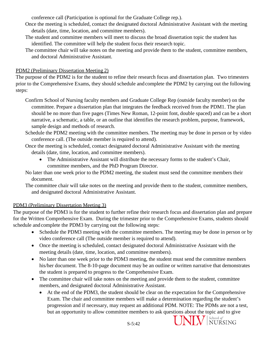conference call (Participation is optional for the Graduate College rep.).

- Once the meeting is scheduled, contact the designated doctoral Administrative Assistant with the meeting details (date, time, location, and committee members).
- The student and committee members will meet to discuss the broad dissertation topic the student has identified. The committee will help the student focus their research topic.
- The committee chair will take notes on the meeting and provide them to the student, committee members, and doctoral Administrative Assistant.

# PDM2 (Preliminary Dissertation Meeting 2)

The purpose of the PDM2 is for the student to refine their research focus and dissertation plan. Two trimesters prior to the Comprehensive Exams, they should schedule and complete the PDM2 by carrying out the following steps:

- Confirm School of Nursing faculty members and Graduate College Rep (outside faculty member) on the committee. Prepare a dissertation plan that integrates the feedback received from the PDM1. The plan should be no more than five pages (Times New Roman, 12-point font, double spaced) and can be a short narrative, a schematic, a table, or an outline that identifies the research problem, purpose, framework, sample design and methods of research.
- Schedule the PDM2 meeting with the committee members. The meeting may be done in person or by video conference call. (The outside member is required to attend).

# Once the meeting is scheduled, contact designated doctoral Administrative Assistant with the meeting details (date, time, location, and committee members).

- The Administrative Assistant will distribute the necessary forms to the student's Chair, committee members, and the PhD Program Director.
- No later than one week prior to the PDM2 meeting, the student must send the committee members their document.
- The committee chair will take notes on the meeting and provide them to the student, committee members, and designated doctoral Administrative Assistant.

# PDM3 (Preliminary Dissertation Meeting 3)

The purpose of the PDM3 is for the student to further refine their research focus and dissertation plan and prepare for the Written Comprehensive Exam. During the trimester prior to the Comprehensive Exams, students should schedule and complete the PDM3 by carrying out the following steps:

- Schedule the PDM3 meeting with the committee members. The meeting may be done in person or by video conference call (The outside member is required to attend).
- Once the meeting is scheduled, contact designated doctoral Administrative Assistant with the meeting details (date, time, location, and committee members).
- No later than one week prior to the PDM3 meeting, the student must send the committee members his/her document. The 8-10-page document may be an outline or written narrative that demonstrates the student is prepared to progress to the Comprehensive Exam.
- The committee chair will take notes on the meeting and provide them to the student, committee members, and designated doctoral Administrative Assistant.
	- At the end of the PDM3, the student should be clear on the expectation for the Comprehensive Exam. The chair and committee members will make a determination regarding the student's progression and if necessary, may request an additional PDM. NOTE: The PDMs are not a test, but an opportunity to allow committee members to ask questions about the topic and to give<br>  $S=5.42$

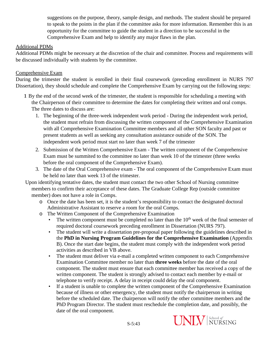suggestions on the purpose, theory, sample design, and methods. The student should be prepared to speak to the points in the plan if the committee asks for more information. Remember this is an opportunity for the committee to guide the student in a direction to be successful in the Comprehensive Exam and help to identify any major flaws in the plan.

# Additional PDMs

Additional PDMs might be necessary at the discretion of the chair and committee. Process and requirements will be discussed individually with students by the committee.

## Comprehensive Exam

During the trimester the student is enrolled in their final coursework (preceding enrollment in NURS 797 Dissertation), they should schedule and complete the Comprehensive Exam by carrying out the following steps:

- 1 By the end of the second week of the trimester, the student is responsible for scheduling a meeting with the Chairperson of their committee to determine the dates for completing their written and oral comps. The three dates to discuss are:
	- 1. The beginning of the three-week independent work period During the independent work period, the student must refrain from discussing the written component of the Comprehensive Examination with all Comprehensive Examination Committee members and all other SON faculty and past or present students as well as seeking any consultation assistance outside of the SON. The independent work period must start no later than week 7 of the trimester
	- 2. Submission of the Written Comprehensive Exam The written component of the Comprehensive Exam must be summited to the committee no later than week 10 of the trimester (three weeks before the oral component of the Comprehensive Exam).
	- 3. The date of the Oral Comprehensive exam The oral component of the Comprehensive Exam must be held no later than week 13 of the trimester.
- Upon identifying tentative dates, the student must contact the two other School of Nursing committee members to confirm their acceptance of these dates. The Graduate College Rep (outside committee member) does not have a role in Comps.
	- o Once the date has been set, it is the student's responsibility to contact the designated doctoral Administrative Assistant to reserve a room for the oral Comps.
	- o The Written Component of the Comprehensive Examination
		- The written component must be completed no later than the  $10<sup>th</sup>$  week of the final semester of required doctoral coursework preceding enrollment in Dissertation (NURS 797).
		- The student will write a dissertation pre-proposal paper following the guidelines described in the **PhD in Nursing Program Guidelines for the Comprehensive Examination** (Appendix B). Once the start date begins, the student must comply with the independent work period activities as described in VB above.
		- The student must deliver via e-mail a completed written component to each Comprehensive Examination Committee member no later than **three weeks** before the date of the oral component. The student must ensure that each committee member has received a copy of the written component. The student is strongly advised to contact each member by e-mail or telephone to verify receipt. A delay in receipt could delay the oral component.
		- If a student is unable to complete the written component of the Comprehensive Examination because of illness or other emergency, the student must notify the chairperson in writing before the scheduled date. The chairperson will notify the other committee members and the PhD Program Director. The student must reschedule the completion date, and possibly, the date of the oral component.

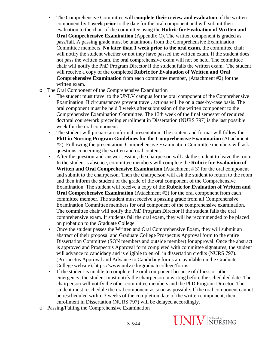- The Comprehensive Committee will **complete their review and evaluation** of the written component by **1 week prior** to the date for the oral component and will submit their evaluation to the chair of the committee using the **Rubric for Evaluation of Written and Oral Comprehensive Examination** (Appendix C). The written component is graded as pass/fail. A passing grade must be unanimous from the Comprehensive Examination Committee members. **No later than 1 week prior to the oral exam**, the committee chair will notify the student whether or not they have passed the written exam. If the student does not pass the written exam, the oral comprehensive exam will not be held. The committee chair will notify the PhD Program Director if the student fails the written exam. The student will receive a copy of the completed **Rubric for Evaluation of Written and Oral Comprehensive Examination** from each committee member, (Attachment #2) for the written exam.
- o The Oral Component of the Comprehensive Examination
	- The student must travel to the UNLV campus for the oral component of the Comprehensive Examination. If circumstances prevent travel, actions will be on a case-by-case basis. The oral component must be held 3 weeks after submission of the written component to the Comprehensive Examination Committee. The 13th week of the final semester of required doctoral coursework preceding enrollment in Dissertation (NURS 797) is the last possible week for the oral component.
	- The student will prepare an informal presentation. The content and format will follow the **PhD in Nursing Program Guidelines for the Comprehensive Examination** (Attachment #2). Following the presentation, Comprehensive Examination Committee members will ask questions concerning the written and oral content.
	- After the question-and-answer session, the chairperson will ask the student to leave the room. In the student's absence, committee members will complete the **Rubric for Evaluation of Written and Oral Comprehensive Examination** (Attachment # 3) for the oral component and submit to the chairperson. Then the chairperson will ask the student to return to the room and then inform the student of the grade of the oral component of the Comprehensive Examination. The student will receive a copy of the **Rubric for Evaluation of Written and Oral Comprehensive Examination** (Attachment #2) for the oral component from each committee member. The student must receive a passing grade from all Comprehensive Examination Committee members for oral component of the comprehensive examination. The committee chair will notify the PhD Program Director if the student fails the oral comprehensive exam. If students fail the oral exam, they will be recommended to be placed on probation to the Graduate College.
	- Once the student passes the Written and Oral Comprehensive Exam, they will submit an abstract of their proposal and Graduate College Prospectus Approval form to the entire Dissertation Committee (SON members and outside member) for approval. Once the abstract is approved and Prospectus Approval form completed with committee signatures, the student will advance to candidacy and is eligible to enroll in dissertation credits (NURS 797). (Prospectus Approval and Advance to Candidacy forms are available on the Graduate College website). https://www.unlv.edu/graduatecollege/forms
	- If the student is unable to complete the oral component because of illness or other emergency, the student must notify the chairperson in writing before the scheduled date. The chairperson will notify the other committee members and the PhD Program Director. The student must reschedule the oral component as soon as possible. If the oral component cannot be rescheduled within 3 weeks of the completion date of the written component, then enrollment in Dissertation (NURS 797) will be delayed accordingly.
- o Passing/Failing the Comprehensive Examination

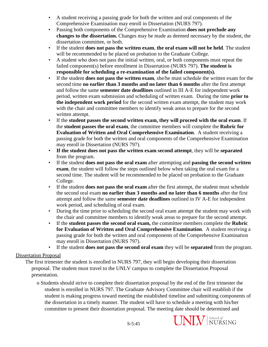- A student receiving a passing grade for both the written and oral components of the Comprehensive Examination may enroll in Dissertation (NURS 797).
- Passing both components of the Comprehensive Examination **does not preclude any changes to the dissertation.** Changes may be made as deemed necessary by the student, the dissertation committee, or both.
- If the student **does not pass the written exam**, **the oral exam will not be held**. The student will be recommended to be placed on probation to the Graduate College.
- A student who does not pass the initial written, oral, or both components must repeat the failed component(s) before enrollment in Dissertation (NURS 797). **The student is responsible for scheduling a re-examination of the failed component(s).**
- If the student **does not pass the written exam**, she/he must schedule the written exam for the second time **no earlier than 3 months and no later than 6 months** after the first attempt and follow the same **semester date deadlines** outlined in III A-E for independent work period, written exam submission and scheduling of written exam. During the time **prior to the independent work period** for the second written exam attempt, the student may work with the chair and committee members to identify weak areas to prepare for the second written attempt.
- If the **student passes the second written exam, they will proceed with the oral exam**. If the **student passes the oral exam**, the committee members will complete the **Rubric for Evaluation of Written and Oral Comprehensive Examination**. A student receiving a passing grade for both the written and oral components of the Comprehensive Examination may enroll in Dissertation (NURS 797).
- **If the student does not pass the written exam second attempt**, they will be **separated** from the program.
- If the student **does not pass the oral exam** after attempting and **passing the second written exam**, the student will follow the steps outlined below when taking the oral exam for a second time. The student will be recommended to be placed on probation to the Graduate College.
- If the student **does not pass the oral exam** after the first attempt, the student must schedule the second oral exam **no earlier than 3 months and no later than 6 months** after the first attempt and follow the same **semester date deadlines** outlined in IV A-E for independent work period, and scheduling of oral exam.
- During the time prior to scheduling the second oral exam attempt the student may work with the chair and committee members to identify weak areas to prepare for the second attempt.
- If the **student passes the second oral exam,** the committee members complete the **Rubric for Evaluation of Written and Oral Comprehensive Examination**. A student receiving a passing grade for both the written and oral components of the Comprehensive Examination may enroll in Dissertation (NURS 797).
- If the student **does not pass the second oral exam** they will be **separated** from the program.

# Dissertation Proposal

- The first trimester the student is enrolled in NURS 797, they will begin developing their dissertation proposal. The student must travel to the UNLV campus to complete the Dissertation Proposal presentation.
	- o Students should strive to complete their dissertation proposal by the end of the first trimester the student is enrolled in NURS 797. The Graduate Advisory Committee chair will establish if the student is making progress toward meeting the established timeline and submitting components of the dissertation in a timely manner. The student will have to schedule a meeting with his/her committee to present their dissertation proposal. The meeting date should be determined and

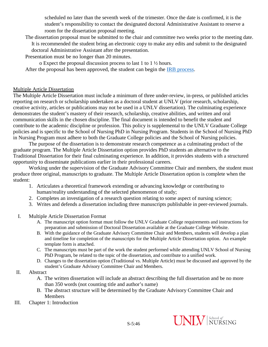scheduled no later than the seventh week of the trimester. Once the date is confirmed, it is the student's responsibility to contact the designated doctoral Administrative Assistant to reserve a room for the dissertation proposal meeting.

The dissertation proposal must be submitted to the chair and committee two weeks prior to the meeting date. It is recommended the student bring an electronic copy to make any edits and submit to the designated doctoral Administrative Assistant after the presentation.

Presentation must be no longer than 20 minutes.

o Expect the proposal discussion process to last 1 to 1 ½ hours.

After the proposal has been approved, the student can begin the IRB process.

# <span id="page-45-0"></span>Multiple Article Dissertation

The Multiple Article Dissertation must include a minimum of three under-review, in-press, or published articles reporting on research or scholarship undertaken as a doctoral student at UNLV (prior research, scholarship, creative activity, articles or publications may not be used in a UNLV dissertation). The culminating experience demonstrates the student's mastery of their research, scholarship, creative abilities, and written and oral communication skills in the chosen discipline. The final document is intended to benefit the student and contribute to the academic discipline or profession. This policy is supplemental to the UNLV Graduate College policies and is specific to the School of Nursing PhD in Nursing Program. Students in the School of Nursing PhD in Nursing Program must adhere to both the Graduate College policies and the School of Nursing policies.

The purpose of the dissertation is to demonstrate research competence as a culminating product of the graduate program. The Multiple Article Dissertation option provides PhD students an alternative to the Traditional Dissertation for their final culminating experience. In addition, it provides students with a structured opportunity to disseminate publications earlier in their professional careers.

Working under the supervision of the Graduate Advisory Committee Chair and members, the student must produce three original, manuscripts to graduate. The Multiple Article Dissertation option is complete when the student:

- 1. Articulates a theoretical framework extending or advancing knowledge or contributing to human/reality understanding of the selected phenomenon of study;
- 2. Completes an investigation of a research question relating to some aspect of nursing science;
- 3. Writes and defends a dissertation including three manuscripts publishable in peer-reviewed journals.
- I. Multiple Article Dissertation Format
	- A. The manuscript option format must follow the UNLV Graduate College requirements and instructions for preparation and submission of Doctoral Dissertation available at the Graduate College Website.
	- B. With the guidance of the Graduate Advisory Committee Chair and Members, students will develop a plan and timeline for completion of the manuscripts for the Multiple Article Dissertation option. An example template form is attached.
	- C. The manuscripts must be part of the work the student performed while attending UNLV School of Nursing PhD Program, be related to the topic of the dissertation, and contribute to a unified work.
	- D. Changes to the dissertation option (Traditional vs. Multiple Article) must be discussed and approved by the student's Graduate Advisory Committee Chair and Members.
- II. Abstract
	- A. The written dissertation will include an abstract describing the full dissertation and be no more than 350 words (not counting title and author's name)
	- B. The abstract structure will be determined by the Graduate Advisory Committee Chair and **Members**
- III. Chapter 1: Introduction

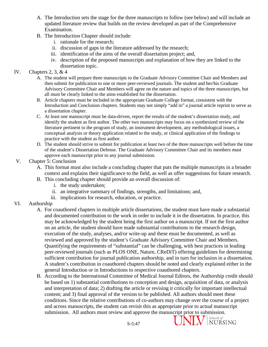- A. The Introduction sets the stage for the three manuscripts to follow (see below) and will include an updated literature review that builds on the review developed as part of the Comprehensive Examination.
- B. The Introduction Chapter should include:
	- i. rationale for the research;
	- ii. discussion of gaps in the literature addressed by the research;
	- iii. identification of the aims of the overall dissertation project; and,
	- iv. description of the proposed manuscripts and explanation of how they are linked to the dissertation topic.

# IV. Chapters 2, 3, & 4

- A. The student will prepare three manuscripts to the Graduate Advisory Committee Chair and Members and then submit for publication to one or more peer-reviewed journals. The student and her/his Graduate Advisory Committee Chair and Members will agree on the nature and topics of the three manuscripts, but all must be clearly linked to the aims established for the dissertation.
- B. Article chapters must be included in the appropriate Graduate College format, consistent with the Introduction and Conclusion chapters. Students may not simply "add in" a journal article reprint to serve as a dissertation chapter.
- C. At least one manuscript must be data-driven, report the results of the student's dissertation study, and identify the student as first author. The other two manuscripts may focus on a synthesized review of the literature pertinent to the program of study, an instrument development, any methodological issues, a conceptual analysis or theory application related to the study, or clinical application of the findings to practice with the student as first author.
- D. The student should strive to submit for publication at least two of the three manuscripts well before the time of the student's Dissertation Defense. The Graduate Advisory Committee Chair and its members must approve each manuscript prior to any journal submission.

# V. Chapter 5: Conclusion

- A. This format must also include a concluding chapter that puts the multiple manuscripts in a broader context and explains their significance to the field, as well as offer suggestions for future research.
- B. This concluding chapter should provide an overall discussion of:
	- i. the study undertaken;
	- ii. an integrative summary of findings, strengths, and limitations; and,
	- iii. implications for research, education, or practice.

# VI. Authorship

- A. For coauthored chapters in multiple article dissertations, the student must have made a substantial and documented contribution to the work in order to include it in the dissertation. In practice, this may be acknowledged by the student being the first author on a manuscript. If not the first author on an article, the student should have made substantial contributions to the research design, execution of the study, analyses, and/or write-up and these must be documented, as well as reviewed and approved by the student's Graduate Advisory Committee Chair and Members. Quantifying the requirements of "substantial" can be challenging, with best practices in leading peer-reviewed journals (such as PLOS ONE, Nature, CReDiT) offering guidelines for determining sufficient contribution for journal publication authorship, and in turn for inclusion in a dissertation. A student's contribution in coauthored chapters should be noted and clearly explained either in the general Introduction or in Introductions to respective coauthored chapters.
- B. According to the International Committee of Medical Journal Editors, the Authorship credit should be based on 1) substantial contributions to conception and design, acquisition of data, or analysis and interpretation of data; 2) drafting the article or revising it critically for important intellectual content; and 3) final approval of the version to be published. All authors should meet these conditions. Since the relative contributions of co-authors may change over the course of a project and across manuscripts, the student can revisit this as appropriate prior to actual manuscript submission. All authors must review and approve the manuscript prior to submission.

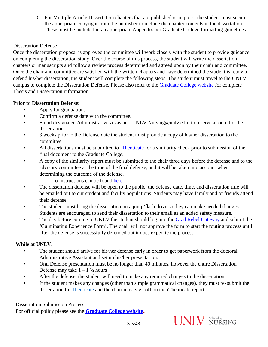C. For Multiple Article Dissertation chapters that are published or in press, the student must secure the appropriate copyright from the publisher to include the chapter contents in the dissertation. These must be included in an appropriate Appendix per Graduate College formatting guidelines.

# Dissertation Defense

Once the dissertation proposal is approved the committee will work closely with the student to provide guidance on completing the dissertation study. Over the course of this process, the student will write the dissertation chapters or manuscripts and follow a review process determined and agreed upon by their chair and committee. Once the chair and committee are satisfied with the written chapters and have determined the student is ready to defend his/her dissertation, the student will complete the following steps. The student must travel to the UNLV campus to complete the Dissertation Defense. Please also refer to the [Graduate College website](https://www.unlv.edu/graduatecollege) for complete Thesis and Dissertation information.

## **Prior to Dissertation Defense:**

- Apply for graduation.
- Confirm a defense date with the committee.
- Email designated Administrative Assistant (UNLV.Nursing@unlv.edu) to reserve a room for the dissertation.
- 3 weeks prior to the Defense date the student must provide a copy of his/her dissertation to the committee.
- All dissertations must be submitted to [iThenticate](https://www.unlv.edu/graduatecollege/ithenticate) for a similarity check prior to submission of the final document to the Graduate College.
- A copy of the similarity report must be submitted to the chair three days before the defense and to the advisory committee at the time of the final defense, and it will be taken into account when determining the outcome of the defense.
	- o Instructions can be found [here.](https://www.unlv.edu/graduatecollege/ithenticate)
- The dissertation defense will be open to the public; the defense date, time, and dissertation title will be emailed out to our student and faculty populations. Students may have family and or friends attend their defense.
- The student must bring the dissertation on a jump/flash drive so they can make needed changes. Students are encouraged to send their dissertation to their email as an added safety measure.
- The day before coming to UNLV the student should log into the [Grad Rebel Gateway](https://unlv-gradcollege.force.com/GradRebelGateway/ERx_Forms__Portal_Login) and submit the 'Culminating Experience Form'. The chair will not approve the form to start the routing process until after the defense is successfully defended but it does expedite the process.

# **While at UNLV:**

- The student should arrive for his/her defense early in order to get paperwork from the doctoral Administrative Assistant and set up his/her presentation.
- Oral Defense presentation must be no longer than 40 minutes, however the entire Dissertation Defense may take  $1 - 1 \frac{1}{2}$  hours
- After the defense, the student will need to make any required changes to the dissertation.
- If the student makes any changes (other than simple grammatical changes), they must re- submit the dissertation to iThenticate and the chair must sign off on the iThenticate report.

# Dissertation Submission Process

For official policy please see the **[Graduate College website.](https://www.unlv.edu/graduatecollege)**.

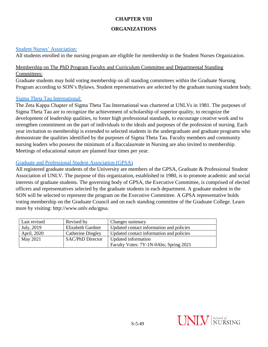# **CHAPTER VIII**

# **ORGANIZATIONS**

# <span id="page-48-0"></span>Student Nurses' Association:

All students enrolled in the nursing program are eligible for membership in the Student Nurses Organization.

#### Membership on The PhD Program Faculty and Curriculum Committee and Departmental Standing Committees:

Graduate students may hold voting membership on all standing committees within the Graduate Nursing Program according to SON's Bylaws. Student representatives are selected by the graduate nursing student body.

# <span id="page-48-1"></span>Sigma Theta Tau International:

The Zeta Kappa Chapter of Sigma Theta Tau International was chartered at UNLVs in 1981. The purposes of Sigma Theta Tau are to recognize the achievement of scholarship of superior quality, to recognize the development of leadership qualities, to foster high professional standards, to encourage creative work and to strengthen commitment on the part of individuals to the ideals and purposes of the profession of nursing. Each year invitation to membership is extended to selected students in the undergraduate and graduate programs who demonstrate the qualities identified by the purposes of Sigma Theta Tau. Faculty members and community nursing leaders who possess the minimum of a Baccalaureate in Nursing are also invited to membership. Meetings of educational nature are planned four times per year.

# Graduate and Professional Student Association (GPSA)

All registered graduate students of the University are members of the GPSA, Graduate & Professional Student Association of UNLV. The purpose of this organization, established in 1980, is to promote academic and social interests of graduate students. The governing body of GPSA, the Executive Committee, is comprised of elected officers and representatives selected by the graduate students in each department. A graduate student in the SON will be selected to represent the program on the Executive Committee. A GPSA representative holds voting membership on the Graduate Council and on each standing committee of the Graduate College. Learn more by visiting: [http://www.unlv.edu/gpsa.](http://www.unlv.edu/gpsa)

| Last revised | Revised by               | Changes summary                          |
|--------------|--------------------------|------------------------------------------|
| July, 2019   | <b>Elizabeth Gardner</b> | Updated contact information and policies |
| April, 2020  | <b>Catherine Dingley</b> | Updated contact information and policies |
| May 2021     | <b>SAC/PhD Director</b>  | Updated information                      |
|              |                          | Faculty Votes: 7Y-1N-0Abs; Spring 2021   |

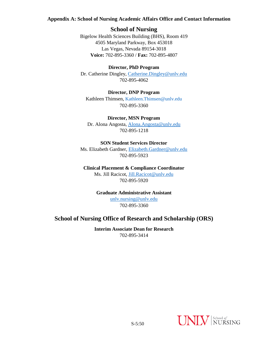#### **Appendix A: School of Nursing Academic Affairs Office and Contact Information**

# **School of Nursing**

Bigelow Health Sciences Building (BHS), Room 419 4505 Maryland Parkway, Box 453018 Las Vegas, Nevada 89154-3018 **Voice:** 702-895-3360 / **Fax:** 702-895-4807

#### **Director, PhD Program**

Dr. Catherine Dingley, [Catherine.Dingley@unlv.edu](mailto:Catherine.Dingley@unlv.edu) 702-895-4062

#### **Director, DNP Program**

Kathleen Thimsen, [Kathleen.Thimsen@unlv.edu](mailto:Kathleen.Thimsen@unlv.edu)  702-895-3360

#### **Director, MSN Program**

Dr. Alona Angosta, [Alona.Angosta@unlv.edu](mailto:Alona.Angosta@unlv.edu) 702-895-1218

#### **SON Student Services Director**

Ms. Elizabeth Gardner, [Elizabeth.Gardner@unlv.edu](mailto:Elizabeth.Gardner@unlv.edu) 702-895-5923

#### **Clinical Placement & Compliance Coordinator**

Ms. Jill Racicot, [Jill.Racicot@unlv.edu](mailto:Jill.Racicot@unlv.edu) 702-895-5920

#### **Graduate Administrative Assistant**

[unlv.nursing@unlv.edu](mailto:unlv.nursing@unlv.edu)  702-895-3360

# **School of Nursing Office of Research and Scholarship (ORS)**

**Interim Associate Dean for Research** 702-895-3414

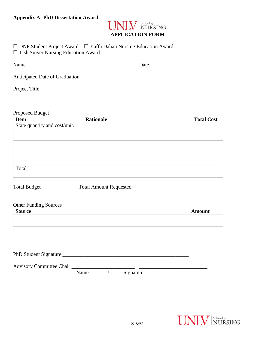

|                                           | $\Box$ DNP Student Project Award $\Box$ Yaffa Dahan Nursing Education Award |
|-------------------------------------------|-----------------------------------------------------------------------------|
| $\Box$ Tish Smyer Nursing Education Award |                                                                             |

| Name          |  |
|---------------|--|
|               |  |
| Project Title |  |

\_\_\_\_\_\_\_\_\_\_\_\_\_\_\_\_\_\_\_\_\_\_\_\_\_\_\_\_\_\_\_\_\_\_\_\_\_\_\_\_\_\_\_\_\_\_\_\_\_\_\_\_\_\_\_\_\_\_\_\_\_\_\_\_\_\_\_\_\_\_\_\_\_\_\_\_\_\_

# Proposed Budget

| <b>Item</b>                   | <b>Rationale</b> | <b>Total Cost</b> |
|-------------------------------|------------------|-------------------|
| State quantity and cost/unit. |                  |                   |
|                               |                  |                   |
|                               |                  |                   |
|                               |                  |                   |
|                               |                  |                   |
|                               |                  |                   |
|                               |                  |                   |
| Total                         |                  |                   |
|                               |                  |                   |

Total Budget \_\_\_\_\_\_\_\_\_\_\_\_\_\_\_\_\_ Total Amount Requested \_\_\_\_\_\_\_\_\_\_\_\_\_\_\_\_\_\_\_\_\_\_\_\_\_\_

# Other Funding Sources

| <b>Source</b> | <b>Amount</b> |
|---------------|---------------|
|               |               |
|               |               |
|               |               |
|               |               |

PhD Student Signature \_\_\_\_\_\_\_\_\_\_\_\_\_\_\_\_\_\_\_\_\_\_\_\_\_\_\_\_\_\_\_\_\_\_\_\_\_\_\_\_\_\_\_\_\_\_\_\_

Advisory Committee Chair \_\_\_\_\_\_\_\_\_\_\_\_\_\_\_\_\_\_\_\_\_\_\_\_ \_\_\_\_\_\_\_\_\_\_\_\_\_\_\_\_\_\_\_\_\_\_\_\_\_\_

Name / Signature

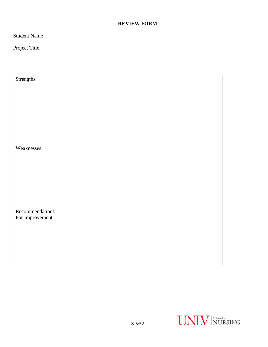# **REVIEW FORM**

Student Name \_\_\_\_\_\_\_\_\_\_\_\_\_\_\_\_\_\_\_\_\_\_\_\_\_\_\_\_\_\_\_\_\_\_\_\_\_\_

Project Title \_\_\_\_\_\_\_\_\_\_\_\_\_\_\_\_\_\_\_\_\_\_\_\_\_\_\_\_\_\_\_\_\_\_\_\_\_\_\_\_\_\_\_\_\_\_\_\_\_\_\_\_\_\_\_\_\_\_\_\_\_\_\_\_\_\_\_

| Strengths       |  |
|-----------------|--|
|                 |  |
|                 |  |
|                 |  |
|                 |  |
|                 |  |
|                 |  |
|                 |  |
|                 |  |
|                 |  |
|                 |  |
|                 |  |
|                 |  |
|                 |  |
|                 |  |
|                 |  |
|                 |  |
|                 |  |
|                 |  |
|                 |  |
| Weaknesses      |  |
|                 |  |
|                 |  |
|                 |  |
|                 |  |
|                 |  |
|                 |  |
|                 |  |
|                 |  |
|                 |  |
|                 |  |
|                 |  |
|                 |  |
|                 |  |
|                 |  |
|                 |  |
|                 |  |
|                 |  |
| Recommendations |  |
|                 |  |
| For Improvement |  |
|                 |  |
|                 |  |
|                 |  |
|                 |  |
|                 |  |
|                 |  |
|                 |  |
|                 |  |
|                 |  |
|                 |  |
|                 |  |
|                 |  |
|                 |  |
|                 |  |

\_\_\_\_\_\_\_\_\_\_\_\_\_\_\_\_\_\_\_\_\_\_\_\_\_\_\_\_\_\_\_\_\_\_\_\_\_\_\_\_\_\_\_\_\_\_\_\_\_\_\_\_\_\_\_\_\_\_\_\_\_\_\_\_\_\_\_\_\_\_\_\_\_\_\_\_\_\_

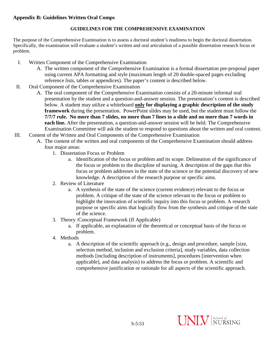# **Appendix B: Guidelines Written Oral Comps**

# **GUIDELINES FOR THE COMPREHENSIVE EXAMINATION**

The purpose of the Comprehensive Examination is to assess a doctoral student's readiness to begin the doctoral dissertation. Specifically, the examination will evaluate a student's written and oral articulation of a possible dissertation research focus or problem.

- I. Written Component of the Comprehensive Examination
	- A. The written component of the Comprehensive Examination is a formal dissertation pre-proposal paper using current APA formatting and style (maximum length of 20 double-spaced pages excluding reference lists, tables or appendices). The paper's content is described below.
- II. Oral Component of the Comprehensive Examination
	- A. The oral component of the Comprehensive Examination consists of a 20-minute informal oral presentation by the student and a question-and-answer session. The presentation's content is described below. A student may utilize a whiteboard **only for displaying a graphic description of the study framework** during the presentation. PowerPoint slides may be used, but the student must follow the **7/7/7 rule. No more than 7 slides, no more than 7 lines to a slide and no more than 7 words in each line.** After the presentation, a question-and-answer session will be held. The Comprehensive Examination Committee will ask the student to respond to questions about the written and oral content.
- III. Content of the Written and Oral Components of the Comprehensive Examination
	- A. The content of the written and oral components of the Comprehensive Examination should address four major areas:
		- 1. Dissertation Focus or Problem
			- a. Identification of the focus or problem and its scope. Delineation of the significance of the focus or problem to the discipline of nursing. A description of the gaps that this focus or problem addresses in the state of the science or the potential discovery of new knowledge. A description of the research purpose or specific aims.
		- 2. Review of Literature
			- a. A synthesis of the state of the science (current evidence) relevant to the focus or problem. A critique of the state of the science relevant to the focus or problem to highlight the innovation of scientific inquiry into this focus or problem. A research purpose or specific aims that logically flow from the synthesis and critique of the state of the science.
		- 3. Theory /Conceptual Framework (If Applicable)
			- a. If applicable, an explanation of the theoretical or conceptual basis of the focus or problem.
		- 4. Methods
			- a. A description of the scientific approach (e.g., design and procedure, sample [size, selection method, inclusion and exclusion criteria], study variables, data collection methods [including description of instruments], procedures [intervention when applicable], and data analysis) to address the focus or problem. A scientific and comprehensive justification or rationale for all aspects of the scientific approach.

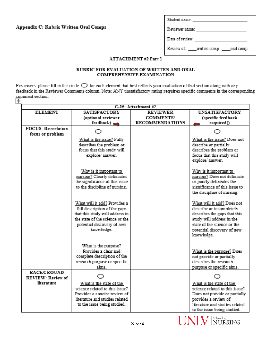Appendix C: Rubric Written Oral Comps

|  | Student name: |
|--|---------------|
|  |               |

Reviewer name: The contract of the contract of the contract of the contract of the contract of the contract of

Date of review:

Review of: \_\_\_ written comp \_\_\_\_ oral comp

#### **ATTACHMENT#2 Part 1**

#### RUBRIC FOR EVALUATION OF WRITTEN AND ORAL COMPREHENSIVE EXAMINATION

Reviewers: please fill in the circle  $\bigcirc$  for each element that best reflects your evaluation of that section along with any feedback in the Reviewer Comments column. Note: ANY unsatisfactory rating requires specific comments in the corresponding comment section.  $\overline{+}$ 

| C-15: Attachment #2        |                                 |                        |                                |  |  |
|----------------------------|---------------------------------|------------------------|--------------------------------|--|--|
| <b>ELEMENT</b>             | <b>SATISFACTORY</b>             | <b>REVIEWER</b>        | UNSATISFACTORY                 |  |  |
|                            | (optional reviewer              | COMMENTS/              | (specific feedback             |  |  |
|                            | feedback) $\rightarrow$         | <b>RECOMMENDATIONS</b> | required))                     |  |  |
| <b>FOCUS: Dissertation</b> |                                 |                        |                                |  |  |
| focus or problem           |                                 |                        |                                |  |  |
|                            | What is the issue? Fully        |                        | What is the issue? Does not    |  |  |
|                            | describes the problem or        |                        | describe or partially          |  |  |
|                            | focus that this study will      |                        | describes the problem or       |  |  |
|                            | explore/ answer.                |                        | focus that this study will     |  |  |
|                            |                                 |                        | explore/answer.                |  |  |
|                            |                                 |                        |                                |  |  |
|                            | Why is it important to          |                        | Why is it important to         |  |  |
|                            | nursing? Clearly delineates     |                        | nursing? Does not delineate    |  |  |
|                            | the significance of this issue  |                        | or poorly delineates the       |  |  |
|                            | to the discipline of nursing.   |                        | significance of this issue to  |  |  |
|                            |                                 |                        | the discipline of nursing.     |  |  |
|                            |                                 |                        |                                |  |  |
|                            | What will it add? Provides a    |                        | What will it add? Does not     |  |  |
|                            | full description of the gaps    |                        | describe or incompletely       |  |  |
|                            | that this study will address in |                        | describes the gaps that this   |  |  |
|                            | the state of the science or the |                        | study will address in the      |  |  |
|                            | potential discovery of new      |                        | state of the science or the    |  |  |
|                            | knowledge.                      |                        | potential discovery of new     |  |  |
|                            |                                 |                        | knowledge.                     |  |  |
|                            | What is the purpose?            |                        |                                |  |  |
|                            | Provides a clear and            |                        | What is the purpose? Does      |  |  |
|                            | complete description of the     |                        | not provide or partially       |  |  |
|                            | research purpose or specific    |                        | describes the research         |  |  |
|                            | aims.                           |                        | purpose or specific aims.      |  |  |
| <b>BACKGROUND</b>          |                                 |                        |                                |  |  |
| <b>REVIEW: Review of</b>   |                                 |                        |                                |  |  |
| literature                 | What is the state of the        |                        | What is the state of the       |  |  |
|                            | science related to this issue?  |                        | science related to this issue? |  |  |
|                            | Provides a concise review of    |                        | Does not provide or partially  |  |  |
|                            | literature and studies related  |                        | provides a review of           |  |  |
|                            | to the issue being studied.     |                        | literature and studies related |  |  |
|                            |                                 |                        | to the issue being studied.    |  |  |

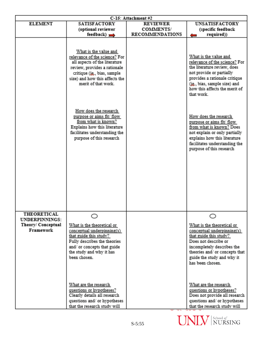| C-15: Attachment #2                                             |                                                                                                                                                                                                                                                                                                                                                                                           |                                                               |                                                                                                                                                                                                                                                                                                                                                                                                                                                   |  |  |
|-----------------------------------------------------------------|-------------------------------------------------------------------------------------------------------------------------------------------------------------------------------------------------------------------------------------------------------------------------------------------------------------------------------------------------------------------------------------------|---------------------------------------------------------------|---------------------------------------------------------------------------------------------------------------------------------------------------------------------------------------------------------------------------------------------------------------------------------------------------------------------------------------------------------------------------------------------------------------------------------------------------|--|--|
| <b>ELEMENT</b>                                                  | <b>SATISFACTORY</b><br>(optional reviewer<br>feedback) $\rightarrow$                                                                                                                                                                                                                                                                                                                      | <b>REVIEWER</b><br><b>COMMENTS/</b><br><b>RECOMMENDATIONS</b> | UNSATISFACTORY<br>(specific feedback<br>required))                                                                                                                                                                                                                                                                                                                                                                                                |  |  |
|                                                                 | What is the value and<br>relevance of the science? For<br>all aspects of the literature<br>review, provides a rationale<br>critique (ig., bias, sample<br>size) and how this affects the<br>merit of that work.<br>How does the research<br>purpose or aims fit/ flow<br>from what is known?<br>Explains how this literature<br>facilitates understanding the<br>purpose of this research |                                                               | What is the value and<br>relevance of the science? For<br>the literature review, does<br>not provide or partially<br>provides a rationale critique<br>(ie., bias, sample size) and<br>how this affects the merit of<br>that work.<br>How does the research<br>purpose or aims fit/ flow<br>from what is known? Does<br>not explain or only partially<br>explains how this literature<br>facilitates understanding the<br>purpose of this research |  |  |
| THEORETICAL<br>UNDERPINNINGS:<br>Theory/Conceptual<br>Framework | What is the theoretical or<br>conceptual underpinning(s)<br>that guide this study?<br>Fully describes the theories<br>and/or concepts that guide<br>the study and why it has<br>been chosen.<br>What are the research<br>questions or hypotheses?<br>Clearly details all research<br>questions and/ or hypotheses<br>that the research study will                                         |                                                               | What is the theoretical or<br>conceptual underpinning(s)<br>that guide this study?<br>Does not describe or<br>incompletely describes the<br>theories and/ or concepts that<br>guide the study and why it<br>has been chosen.<br>What are the research<br>questions or hypotheses?<br>Does not provide all research<br>questions and/ or hypotheses<br>that the research study will                                                                |  |  |